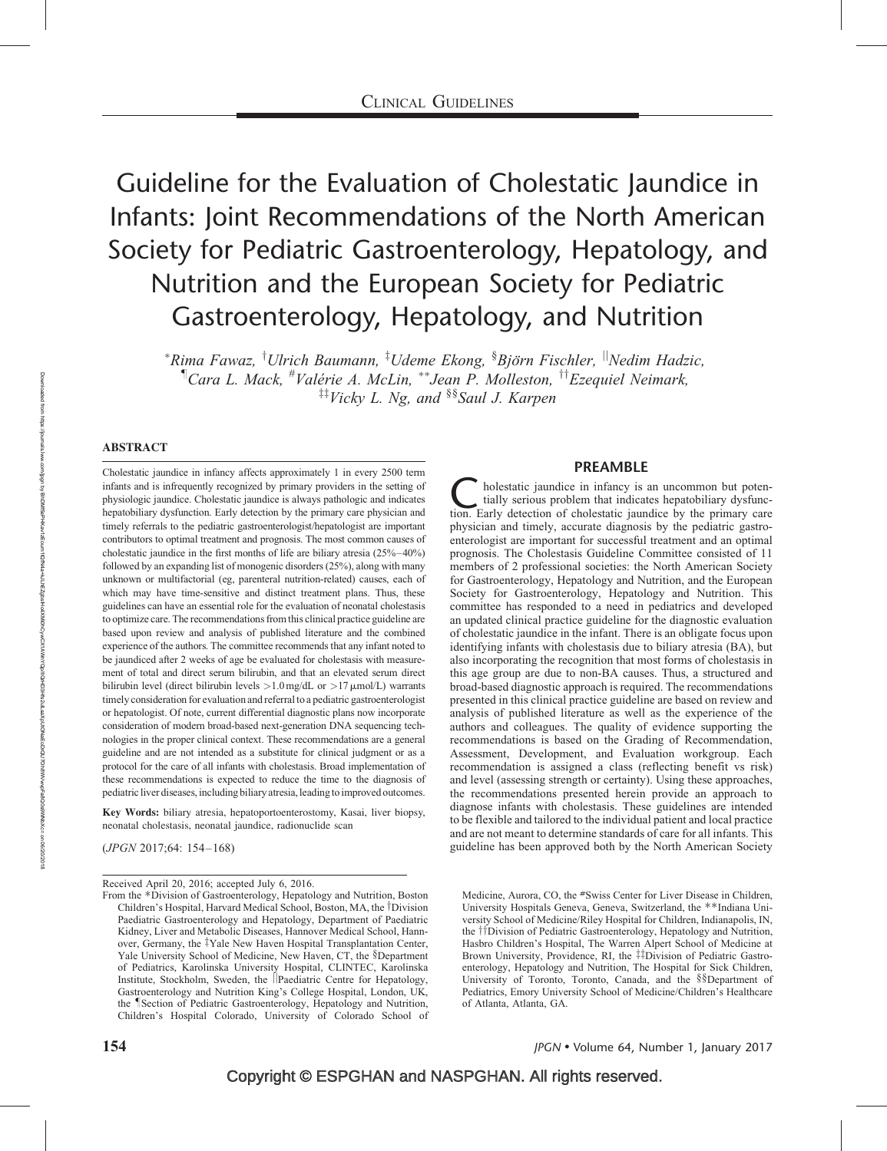# Guideline for the Evaluation of Cholestatic Jaundice in Infants: Joint Recommendations of the North American Society for Pediatric Gastroenterology, Hepatology, and Nutrition and the European Society for Pediatric Gastroenterology, Hepatology, and Nutrition

 ${}^*$ Rima Fawaz,  ${}^{\dagger}$ Ulrich Baumann,  ${}^{\ddagger}$ Udeme Ekong,  ${}^{\$}Bj\ddot{o}$ rn Fischler,  ${}^{\parallel}$ Nedim Hadzic,  $\n <sup>†</sup> Cara L. Mack, <sup>#</sup>Valérie A. McLin, <sup>**</sup> Jean P. Molleston, <sup>††</sup> Ezequiel Neimark,$  ${}^{\ddagger\ddagger}$ Vicky L. Ng, and  ${}^{\$}\$$ Saul J. Karpen

# ABSTRACT

Cholestatic jaundice in infancy affects approximately 1 in every 2500 term infants and is infrequently recognized by primary providers in the setting of physiologic jaundice. Cholestatic jaundice is always pathologic and indicates hepatobiliary dysfunction. Early detection by the primary care physician and timely referrals to the pediatric gastroenterologist/hepatologist are important contributors to optimal treatment and prognosis. The most common causes of cholestatic jaundice in the first months of life are biliary atresia (25%–40%) followed by an expanding list of monogenic disorders (25%), along with many unknown or multifactorial (eg, parenteral nutrition-related) causes, each of which may have time-sensitive and distinct treatment plans. Thus, these guidelines can have an essential role for the evaluation of neonatal cholestasis to optimize care. The recommendations from this clinical practice guideline are based upon review and analysis of published literature and the combined experience of the authors. The committee recommends that any infant noted to be jaundiced after 2 weeks of age be evaluated for cholestasis with measurement of total and direct serum bilirubin, and that an elevated serum direct bilirubin level (direct bilirubin levels  $>1.0$  mg/dL or  $>17$   $\mu$ mol/L) warrants timely consideration for evaluation and referral to a pediatric gastroenterologist or hepatologist. Of note, current differential diagnostic plans now incorporate consideration of modern broad-based next-generation DNA sequencing technologies in the proper clinical context. These recommendations are a general guideline and are not intended as a substitute for clinical judgment or as a protocol for the care of all infants with cholestasis. Broad implementation of these recommendations is expected to reduce the time to the diagnosis of pediatric liver diseases, including biliary atresia, leading to improved outcomes.

Key Words: biliary atresia, hepatoportoenterostomy, Kasai, liver biopsy, neonatal cholestasis, neonatal jaundice, radionuclide scan

(JPGN 2017;64: 154–168)

# PREAMBLE

Cholestatic jaundice in infancy is an uncommon but potentially serious problem that indicates hepatobiliary dysfunction. Early detection of cholestatic jaundice by the primary care tially serious problem that indicates hepatobiliary dysfuncphysician and timely, accurate diagnosis by the pediatric gastroenterologist are important for successful treatment and an optimal prognosis. The Cholestasis Guideline Committee consisted of 11 members of 2 professional societies: the North American Society for Gastroenterology, Hepatology and Nutrition, and the European Society for Gastroenterology, Hepatology and Nutrition. This committee has responded to a need in pediatrics and developed an updated clinical practice guideline for the diagnostic evaluation of cholestatic jaundice in the infant. There is an obligate focus upon identifying infants with cholestasis due to biliary atresia (BA), but also incorporating the recognition that most forms of cholestasis in this age group are due to non-BA causes. Thus, a structured and broad-based diagnostic approach is required. The recommendations presented in this clinical practice guideline are based on review and analysis of published literature as well as the experience of the authors and colleagues. The quality of evidence supporting the recommendations is based on the Grading of Recommendation, Assessment, Development, and Evaluation workgroup. Each recommendation is assigned a class (reflecting benefit vs risk) and level (assessing strength or certainty). Using these approaches, the recommendations presented herein provide an approach to diagnose infants with cholestasis. These guidelines are intended to be flexible and tailored to the individual patient and local practice and are not meant to determine standards of care for all infants. This guideline has been approved both by the North American Society

Medicine, Aurora, CO, the #Swiss Center for Liver Disease in Children, University Hospitals Geneva, Geneva, Switzerland, the \*\*Indiana University School of Medicine/Riley Hospital for Children, Indianapolis, IN, the *TDivision of Pediatric Gastroenterology*, Hepatology and Nutrition, Hasbro Children's Hospital, The Warren Alpert School of Medicine at Brown University, Providence, RI, the #Division of Pediatric Gastroenterology, Hepatology and Nutrition, The Hospital for Sick Children, University of Toronto, Toronto, Canada, and the §§Department of Pediatrics, Emory University School of Medicine/Children's Healthcare of Atlanta, Atlanta, GA.

Received April 20, 2016; accepted July 6, 2016.

From the \*Division of Gastroenterology, Hepatology and Nutrition, Boston Children's Hospital, Harvard Medical School, Boston, MA, the *Division* Paediatric Gastroenterology and Hepatology, Department of Paediatric Kidney, Liver and Metabolic Diseases, Hannover Medical School, Hannover, Germany, the <sup>†</sup>Yale New Haven Hospital Transplantation Center, Yale University School of Medicine, New Haven, CT, the §Department of Pediatrics, Karolinska University Hospital, CLINTEC, Karolinska Institute, Stockholm, Sweden, the *Paediatric Centre for Hepatology*, Gastroenterology and Nutrition King's College Hospital, London, UK, the *Section of Pediatric Gastroenterology*, Hepatology and Nutrition, Children's Hospital Colorado, University of Colorado School of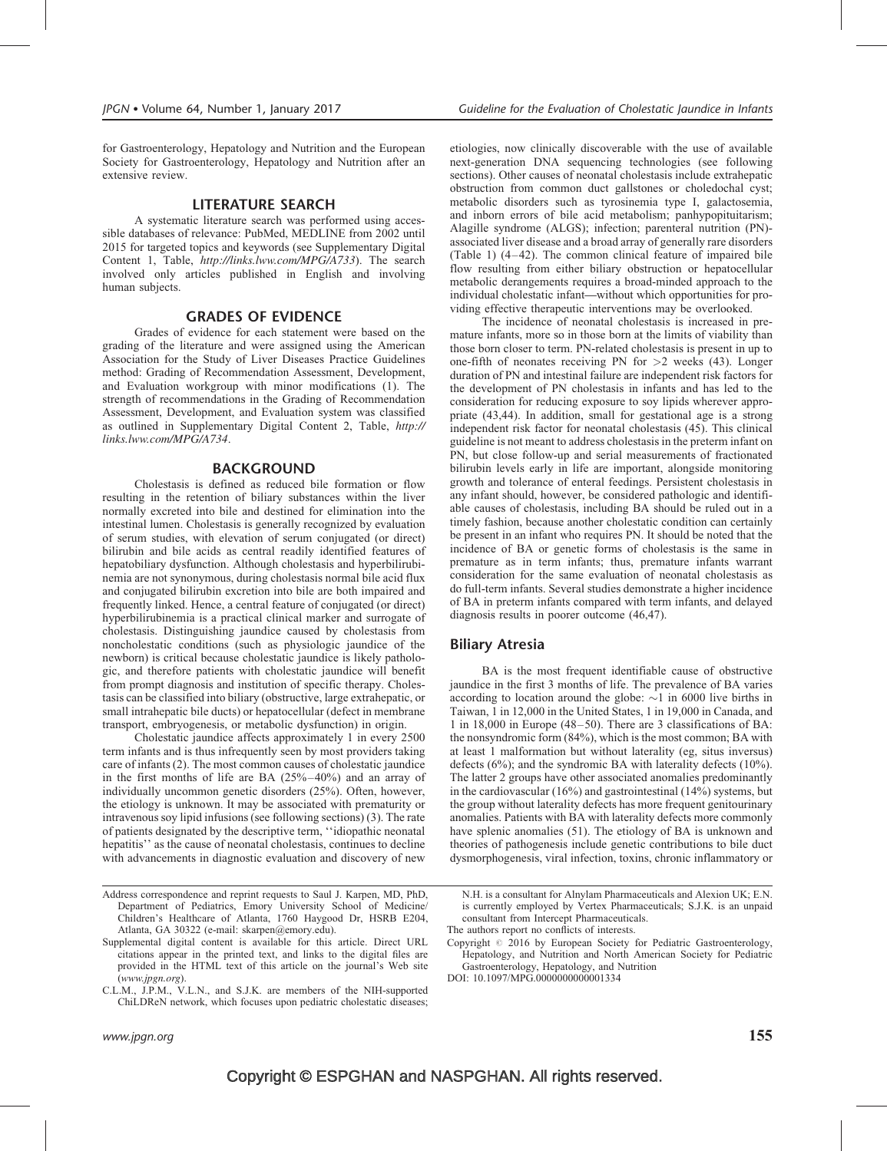for Gastroenterology, Hepatology and Nutrition and the European Society for Gastroenterology, Hepatology and Nutrition after an extensive review.

# LITERATURE SEARCH

A systematic literature search was performed using accessible databases of relevance: PubMed, MEDLINE from 2002 until 2015 for targeted topics and keywords (see Supplementary Digital Content 1, Table, <http://links.lww.com/MPG/A733>). The search involved only articles published in English and involving human subjects.

# GRADES OF EVIDENCE

Grades of evidence for each statement were based on the grading of the literature and were assigned using the American Association for the Study of Liver Diseases Practice Guidelines method: Grading of Recommendation Assessment, Development, and Evaluation workgroup with minor modifications (1). The strength of recommendations in the Grading of Recommendation Assessment, Development, and Evaluation system was classified as outlined in Supplementary Digital Content 2, Table, [http://](http://links.lww.com/MPG/A734) [links.lww.com/MPG/A734](http://links.lww.com/MPG/A734).

#### BACKGROUND

Cholestasis is defined as reduced bile formation or flow resulting in the retention of biliary substances within the liver normally excreted into bile and destined for elimination into the intestinal lumen. Cholestasis is generally recognized by evaluation of serum studies, with elevation of serum conjugated (or direct) bilirubin and bile acids as central readily identified features of hepatobiliary dysfunction. Although cholestasis and hyperbilirubinemia are not synonymous, during cholestasis normal bile acid flux and conjugated bilirubin excretion into bile are both impaired and frequently linked. Hence, a central feature of conjugated (or direct) hyperbilirubinemia is a practical clinical marker and surrogate of cholestasis. Distinguishing jaundice caused by cholestasis from noncholestatic conditions (such as physiologic jaundice of the newborn) is critical because cholestatic jaundice is likely pathologic, and therefore patients with cholestatic jaundice will benefit from prompt diagnosis and institution of specific therapy. Cholestasis can be classified into biliary (obstructive, large extrahepatic, or small intrahepatic bile ducts) or hepatocellular (defect in membrane transport, embryogenesis, or metabolic dysfunction) in origin.

Cholestatic jaundice affects approximately 1 in every 2500 term infants and is thus infrequently seen by most providers taking care of infants (2). The most common causes of cholestatic jaundice in the first months of life are BA (25%–40%) and an array of individually uncommon genetic disorders (25%). Often, however, the etiology is unknown. It may be associated with prematurity or intravenous soy lipid infusions (see following sections) (3). The rate of patients designated by the descriptive term, ''idiopathic neonatal hepatitis'' as the cause of neonatal cholestasis, continues to decline with advancements in diagnostic evaluation and discovery of new etiologies, now clinically discoverable with the use of available next-generation DNA sequencing technologies (see following sections). Other causes of neonatal cholestasis include extrahepatic obstruction from common duct gallstones or choledochal cyst; metabolic disorders such as tyrosinemia type I, galactosemia, and inborn errors of bile acid metabolism; panhypopituitarism; Alagille syndrome (ALGS); infection; parenteral nutrition (PN) associated liver disease and a broad array of generally rare disorders (Table 1) (4–42). The common clinical feature of impaired bile flow resulting from either biliary obstruction or hepatocellular metabolic derangements requires a broad-minded approach to the individual cholestatic infant—without which opportunities for providing effective therapeutic interventions may be overlooked.

The incidence of neonatal cholestasis is increased in premature infants, more so in those born at the limits of viability than those born closer to term. PN-related cholestasis is present in up to one-fifth of neonates receiving PN for  $>2$  weeks (43). Longer duration of PN and intestinal failure are independent risk factors for the development of PN cholestasis in infants and has led to the consideration for reducing exposure to soy lipids wherever appropriate (43,44). In addition, small for gestational age is a strong independent risk factor for neonatal cholestasis (45). This clinical guideline is not meant to address cholestasis in the preterm infant on PN, but close follow-up and serial measurements of fractionated bilirubin levels early in life are important, alongside monitoring growth and tolerance of enteral feedings. Persistent cholestasis in any infant should, however, be considered pathologic and identifiable causes of cholestasis, including BA should be ruled out in a timely fashion, because another cholestatic condition can certainly be present in an infant who requires PN. It should be noted that the incidence of BA or genetic forms of cholestasis is the same in premature as in term infants; thus, premature infants warrant consideration for the same evaluation of neonatal cholestasis as do full-term infants. Several studies demonstrate a higher incidence of BA in preterm infants compared with term infants, and delayed diagnosis results in poorer outcome (46,47).

# Biliary Atresia

BA is the most frequent identifiable cause of obstructive jaundice in the first 3 months of life. The prevalence of BA varies according to location around the globe:  $\sim$ 1 in 6000 live births in Taiwan, 1 in 12,000 in the United States, 1 in 19,000 in Canada, and 1 in 18,000 in Europe (48–50). There are 3 classifications of BA: the nonsyndromic form (84%), which is the most common; BA with at least 1 malformation but without laterality (eg, situs inversus) defects (6%); and the syndromic BA with laterality defects (10%). The latter 2 groups have other associated anomalies predominantly in the cardiovascular (16%) and gastrointestinal (14%) systems, but the group without laterality defects has more frequent genitourinary anomalies. Patients with BA with laterality defects more commonly have splenic anomalies (51). The etiology of BA is unknown and theories of pathogenesis include genetic contributions to bile duct dysmorphogenesis, viral infection, toxins, chronic inflammatory or

N.H. is a consultant for Alnylam Pharmaceuticals and Alexion UK; E.N. is currently employed by Vertex Pharmaceuticals; S.J.K. is an unpaid consultant from Intercept Pharmaceuticals.

The authors report no conflicts of interests.

Address correspondence and reprint requests to Saul J. Karpen, MD, PhD, Department of Pediatrics, Emory University School of Medicine/ Children's Healthcare of Atlanta, 1760 Haygood Dr, HSRB E204, Atlanta, GA 30322 (e-mail: skarpen@emory.edu).

Supplemental digital content is available for this article. Direct URL citations appear in the printed text, and links to the digital files are provided in the HTML text of this article on the journal's Web site ([www.jpgn.org](http://www.jpgn.org/)).

C.L.M., J.P.M., V.L.N., and S.J.K. are members of the NIH-supported ChiLDReN network, which focuses upon pediatric cholestatic diseases;

Copyright  $\odot$  2016 by European Society for Pediatric Gastroenterology, Hepatology, and Nutrition and North American Society for Pediatric Gastroenterology, Hepatology, and Nutrition

DOI: [10.1097/MPG.0000000000001334](http://dx.doi.org/10.1097/MPG.0000000000001334)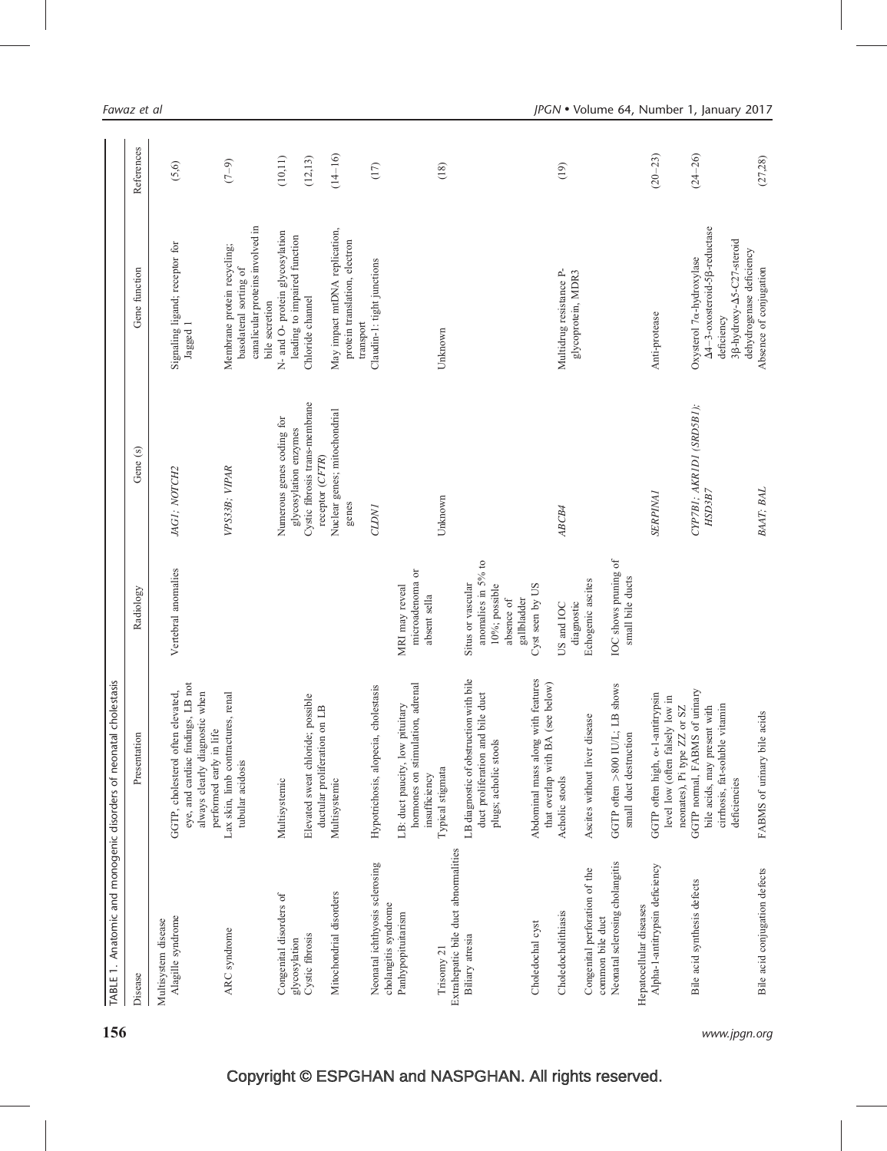| TABLE 1. Anatomic and monogenic disorders of neonatal       | cholestasis                                                                                                                         |                                                                                       |                                                                                                         |                                                                                                                                                                                       |                      |
|-------------------------------------------------------------|-------------------------------------------------------------------------------------------------------------------------------------|---------------------------------------------------------------------------------------|---------------------------------------------------------------------------------------------------------|---------------------------------------------------------------------------------------------------------------------------------------------------------------------------------------|----------------------|
| Disease                                                     | Presentation                                                                                                                        | Radiology                                                                             | Gene (s)                                                                                                | Gene function                                                                                                                                                                         | References           |
| Alagille syndrome<br>Multisystem disease                    | eye, and cardiac findings, LB not<br>GGTP, cholesterol often elevated,<br>always clearly diagnostic when<br>performed early in life | Vertebral anomalies                                                                   | JAGI; NOTCH2                                                                                            | Signaling ligand; receptor for<br>Jagged 1                                                                                                                                            | (5.6)                |
| ARC syndrome                                                | Lax skin, limb contractures, renal<br>tubular acidosis                                                                              |                                                                                       | VPS33B; VIPAR                                                                                           | canalicular proteins involved in<br>Membrane protein recycling;<br>basolateral sorting of<br>bile secretion                                                                           | $(7-9)$              |
| Congenital disorders of<br>Cystic fibrosis<br>glycosylation | Elevated sweat chloride; possible<br>on LB<br>ductular proliferation<br>Multisystemic                                               |                                                                                       | Cystic fibrosis trans-membrane<br>Numerous genes coding for<br>glycosylation enzymes<br>receptor (CFTR) | N- and O- protein glycosylation<br>leading to impaired function<br>Chloride channel                                                                                                   | (10, 11)<br>(12, 13) |
| Mitochondrial disorders                                     | Multisystemic                                                                                                                       |                                                                                       | Nuclear genes; mitochondrial<br>genes                                                                   | May impact mtDNA replication,<br>protein translation, electron<br>transport                                                                                                           | $(14 - 16)$          |
| Neonatal ichthyosis sclerosing<br>cholangitis syndrome      | cholestasis<br>Hypotrichosis, alopecia,                                                                                             |                                                                                       | <b>CLDNI</b>                                                                                            | Claudin-1: tight junctions                                                                                                                                                            | (17)                 |
| Panhypopituitarism                                          | hormones on stimulation, adrenal<br>LB: duct paucity, low pituitary<br>insufficiency                                                | microadenoma or<br>MRI may reveal<br>absent sella                                     |                                                                                                         |                                                                                                                                                                                       |                      |
| Extrahepatic bile duct abnormalities<br>Trisomy 21          | Typical stigmata                                                                                                                    |                                                                                       | Unknown                                                                                                 | Unknown                                                                                                                                                                               | (18)                 |
| Biliary atresia                                             | LB diagnostic of obstruction with bile<br>duct proliferation and bile duct<br>plugs; acholic stools                                 | anomalies in 5% to<br>Situs or vascular<br>10%; possible<br>gallbladder<br>absence of |                                                                                                         |                                                                                                                                                                                       |                      |
| Choledochal cyst                                            | with features<br>(see below)<br>that overlap with BA<br>Abdominal mass along                                                        | Cyst seen by US                                                                       |                                                                                                         |                                                                                                                                                                                       |                      |
| Choledocholithiasis                                         | Acholic stools                                                                                                                      | diagnostic<br>US and IOC                                                              | ABCB4                                                                                                   | Multidrug resistance P-<br>glycoprotein, MDR3                                                                                                                                         | (19)                 |
| Congenital perforation of the<br>common bile duct           | Ascites without liver disease                                                                                                       | Echogenic ascites                                                                     |                                                                                                         |                                                                                                                                                                                       |                      |
| Neonatal sclerosing cholangitis                             | GGTP often >800 IU/L; LB shows<br>small duct destruction                                                                            | IOC shows pruning of<br>small bile ducts                                              |                                                                                                         |                                                                                                                                                                                       |                      |
| Alpha-1-antitrypsin deficiency<br>Hepatocellular diseases   | GGTP often high, $\alpha$ -1-antitrypsin<br>level low (often falsely low in<br>or SZ<br>neonates), Pi type ZZ                       |                                                                                       | <b>SERPINAI</b>                                                                                         | Anti-protease                                                                                                                                                                         | $(20 - 23)$          |
| Bile acid synthesis defects                                 | GGTP normal, FABMS of urinary<br>cirrhosis, fat-soluble vitamin<br>bile acids, may present with<br>deficiencies                     |                                                                                       | CYP7BI; AKRIDI (SRD5B1);<br>HSD3B7                                                                      | A4-3-oxosteroid-5 <sub>8-reductase</sub><br>3 <sup>B-hydroxy-<math>\Delta</math>5-C27-steroid</sup><br>dehydrogenase deficiency<br>Oxysterol 7 <sub>o-hydroxylase</sub><br>deficiency | $(24 - 26)$          |
| Bile acid conjugation defects                               | FABMS of urinary bile acids                                                                                                         |                                                                                       | BAAT; BAL                                                                                               | Absence of conjugation                                                                                                                                                                | (27, 28)             |

156 www.jpgn.org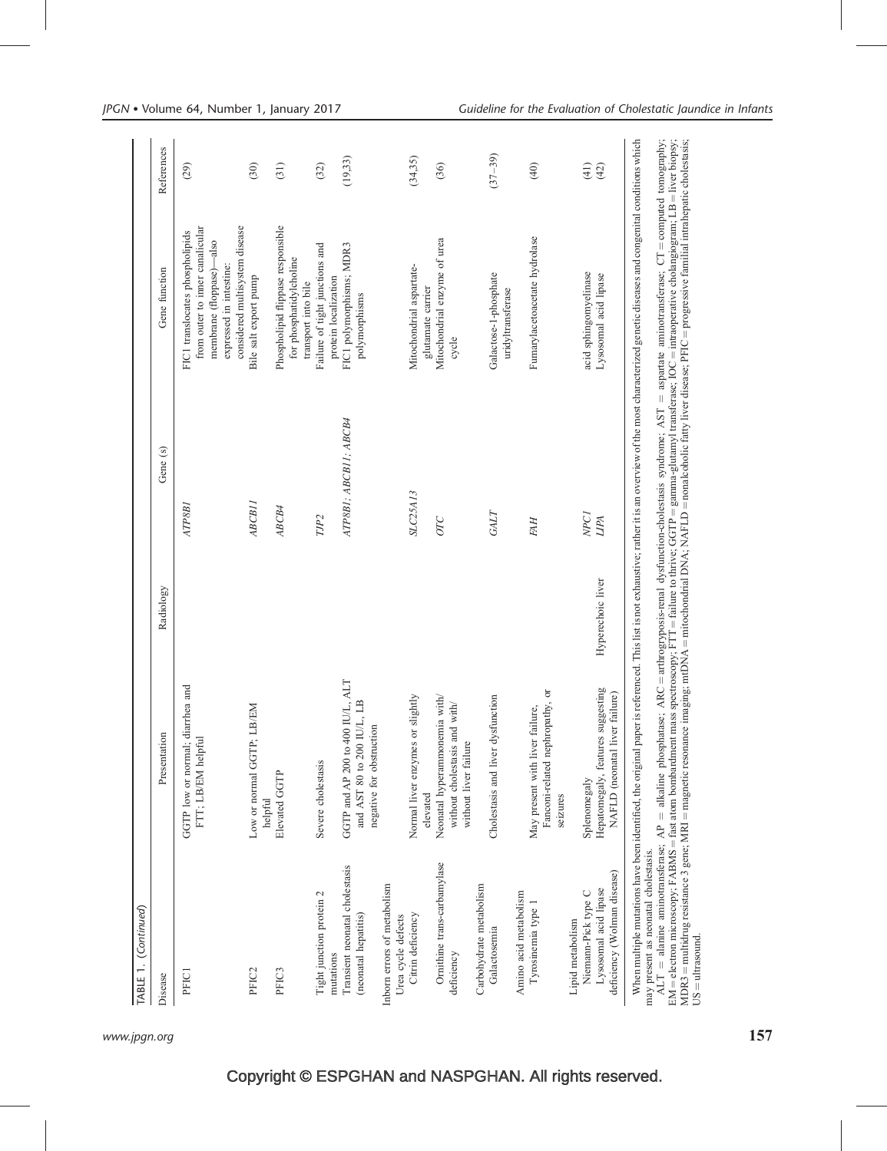| TABLE 1. (Continued)                                                                            |                                                                                                                                                                                                                                                                                                                                                                                                                                                                                                                                                                                                                                            |                   |                          |                                                                                                                                                             |              |
|-------------------------------------------------------------------------------------------------|--------------------------------------------------------------------------------------------------------------------------------------------------------------------------------------------------------------------------------------------------------------------------------------------------------------------------------------------------------------------------------------------------------------------------------------------------------------------------------------------------------------------------------------------------------------------------------------------------------------------------------------------|-------------------|--------------------------|-------------------------------------------------------------------------------------------------------------------------------------------------------------|--------------|
| Disease                                                                                         | Presentation                                                                                                                                                                                                                                                                                                                                                                                                                                                                                                                                                                                                                               | Radiology         | Gene (s)                 | Gene function                                                                                                                                               | References   |
| PFIC1                                                                                           | GGTP low or normal; diarrhea and<br>FTT; LB/EM helpful                                                                                                                                                                                                                                                                                                                                                                                                                                                                                                                                                                                     |                   | ATP8B1                   | from outer to inner canalicular<br>considered multisystem disease<br>FIC1 translocates phospholipids<br>membrane (floppase)-also<br>expressed in intestine: | (29)         |
| PFIC <sub>2</sub>                                                                               | LB/EM<br>Low or normal GGTP;<br>helpful                                                                                                                                                                                                                                                                                                                                                                                                                                                                                                                                                                                                    |                   | ABCB11                   | Bile salt export pump                                                                                                                                       | (30)         |
| PFIC3                                                                                           | Elevated GGTP                                                                                                                                                                                                                                                                                                                                                                                                                                                                                                                                                                                                                              |                   | ABCB4                    | Phospholipid flippase responsible<br>for phosphatidylcholine<br>transport into bile                                                                         | (31)         |
| Tight junction protein 2<br>mutations                                                           | Severe cholestasis                                                                                                                                                                                                                                                                                                                                                                                                                                                                                                                                                                                                                         |                   | TJP <sub>2</sub>         | Failure of tight junctions and<br>protein localization                                                                                                      | (32)         |
| Transient neonatal cholestasis<br>(neonatal hepatitis)                                          | GGTP and AP 200 to 400 IU/L, ALT<br>and AST 80 to 200 IU/L, LB<br>negative for obstruction                                                                                                                                                                                                                                                                                                                                                                                                                                                                                                                                                 |                   | ATP8B1; ABCB11; ABCB4    | FIC1 polymorphisms; MDR3<br>polymorphisms                                                                                                                   | (19, 33)     |
| Inborn errors of metabolism<br>Urea cycle defects                                               |                                                                                                                                                                                                                                                                                                                                                                                                                                                                                                                                                                                                                                            |                   |                          |                                                                                                                                                             |              |
| Citrin deficiency                                                                               | Normal liver enzymes or slightly<br>elevated                                                                                                                                                                                                                                                                                                                                                                                                                                                                                                                                                                                               |                   | SLC25A13                 | Mitochondrial aspartate-<br>glutamate carrier                                                                                                               | (34,35)      |
| Ornithine trans-carbamylase<br>deficiency                                                       | Neonatal hyperammonemia with/<br>without cholestasis and with/<br>without liver failure                                                                                                                                                                                                                                                                                                                                                                                                                                                                                                                                                    |                   | OTC                      | Mitochondrial enzyme of urea<br>cycle                                                                                                                       | (36)         |
| Carbohydrate metabolism<br>Galactosemia                                                         | Cholestasis and liver dysfunction                                                                                                                                                                                                                                                                                                                                                                                                                                                                                                                                                                                                          |                   | GALT                     | Galactose-1-phosphate<br>uridyltransferase                                                                                                                  | $(37 - 39)$  |
| Amino acid metabolism<br>Tyrosinemia type 1                                                     | Fanconi-related nephropathy, or<br>failure,<br>May present with liver<br>seizures                                                                                                                                                                                                                                                                                                                                                                                                                                                                                                                                                          |                   | <b>FAH</b>               | Fumarylacetoacetate hydrolase                                                                                                                               | (40)         |
| deficiency (Wolman disease)<br>Lysosomal acid lipase<br>Niemann-Pick type C<br>Lipid metabolism | Hepatomegaly, features suggesting<br>NAFLD (neonatal liver failure)<br>Splenomegaly                                                                                                                                                                                                                                                                                                                                                                                                                                                                                                                                                        | Hyperechoic liver | NPC <sub>I</sub><br>LIPA | acid sphingomyelinase<br>Lysosomal acid lipase                                                                                                              | (41)<br>(42) |
| may present as neonatal cholestasis.                                                            | $\Delta LT =$ alanine aminotransferase; $\Delta P =$ alkaline phosphatase; $\Delta RC =$ arthrogryposis-renal dysfunction-cholestasis syndrome; $\Delta ST =$ aspartate aminotransferase; $CT =$ computed tomography;<br>When multiple mutations have been identified, the original paper is referenced. This list is not exhaustive; rather it is an overview of the most characterized genetic diseases and congenital conditions which<br>EM = electron microscopy; FABMS = fast atom bombardment mass spectroscopy; FTT = failure to thrive; GGTP = gamma-glutamyl transferase; IOC = intraoperative cholangiogram; LB = liver biopsy; |                   |                          |                                                                                                                                                             |              |

MDR3

US ¼

ultrasound.

= multidrug resistance 3 gene; MRI

magnetic resonance imaging; mtDNA

= mitochondrial DNA; NAFLD

nonalcoholic fatty liver disease; PFIC

progressive familial intrahepatic cholestasis;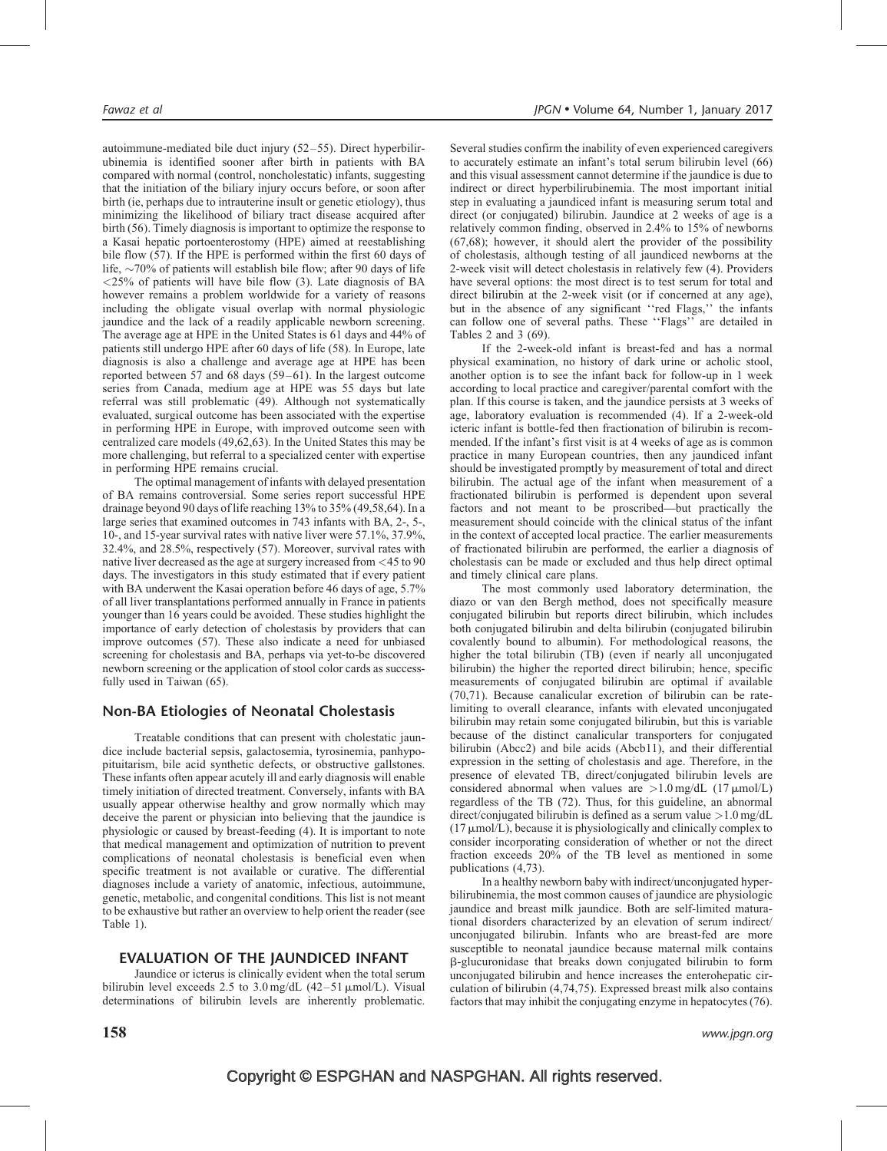autoimmune-mediated bile duct injury (52–55). Direct hyperbilirubinemia is identified sooner after birth in patients with BA compared with normal (control, noncholestatic) infants, suggesting that the initiation of the biliary injury occurs before, or soon after birth (ie, perhaps due to intrauterine insult or genetic etiology), thus minimizing the likelihood of biliary tract disease acquired after birth (56). Timely diagnosis is important to optimize the response to a Kasai hepatic portoenterostomy (HPE) aimed at reestablishing bile flow (57). If the HPE is performed within the first 60 days of life,  $\sim$ 70% of patients will establish bile flow; after 90 days of life  $\langle 25\%$  of patients will have bile flow (3). Late diagnosis of BA however remains a problem worldwide for a variety of reasons including the obligate visual overlap with normal physiologic jaundice and the lack of a readily applicable newborn screening. The average age at HPE in the United States is 61 days and 44% of patients still undergo HPE after 60 days of life (58). In Europe, late diagnosis is also a challenge and average age at HPE has been reported between 57 and 68 days (59–61). In the largest outcome series from Canada, medium age at HPE was 55 days but late referral was still problematic (49). Although not systematically evaluated, surgical outcome has been associated with the expertise in performing HPE in Europe, with improved outcome seen with centralized care models (49,62,63). In the United States this may be more challenging, but referral to a specialized center with expertise in performing HPE remains crucial.

The optimal management of infants with delayed presentation of BA remains controversial. Some series report successful HPE drainage beyond 90 days of life reaching 13% to 35% (49,58,64). In a large series that examined outcomes in 743 infants with BA, 2-, 5-, 10-, and 15-year survival rates with native liver were 57.1%, 37.9%, 32.4%, and 28.5%, respectively (57). Moreover, survival rates with native liver decreased as the age at surgery increased from <45 to 90 days. The investigators in this study estimated that if every patient with BA underwent the Kasai operation before 46 days of age, 5.7% of all liver transplantations performed annually in France in patients younger than 16 years could be avoided. These studies highlight the importance of early detection of cholestasis by providers that can improve outcomes (57). These also indicate a need for unbiased screening for cholestasis and BA, perhaps via yet-to-be discovered newborn screening or the application of stool color cards as successfully used in Taiwan (65).

# Non-BA Etiologies of Neonatal Cholestasis

Treatable conditions that can present with cholestatic jaundice include bacterial sepsis, galactosemia, tyrosinemia, panhypopituitarism, bile acid synthetic defects, or obstructive gallstones. These infants often appear acutely ill and early diagnosis will enable timely initiation of directed treatment. Conversely, infants with BA usually appear otherwise healthy and grow normally which may deceive the parent or physician into believing that the jaundice is physiologic or caused by breast-feeding (4). It is important to note that medical management and optimization of nutrition to prevent complications of neonatal cholestasis is beneficial even when specific treatment is not available or curative. The differential diagnoses include a variety of anatomic, infectious, autoimmune, genetic, metabolic, and congenital conditions. This list is not meant to be exhaustive but rather an overview to help orient the reader (see Table 1).

# EVALUATION OF THE JAUNDICED INFANT

Jaundice or icterus is clinically evident when the total serum bilirubin level exceeds 2.5 to 3.0 mg/dL  $(42-51 \mu \text{mol/L})$ . Visual determinations of bilirubin levels are inherently problematic. Several studies confirm the inability of even experienced caregivers to accurately estimate an infant's total serum bilirubin level (66) and this visual assessment cannot determine if the jaundice is due to indirect or direct hyperbilirubinemia. The most important initial step in evaluating a jaundiced infant is measuring serum total and direct (or conjugated) bilirubin. Jaundice at 2 weeks of age is a relatively common finding, observed in 2.4% to 15% of newborns (67,68); however, it should alert the provider of the possibility of cholestasis, although testing of all jaundiced newborns at the 2-week visit will detect cholestasis in relatively few (4). Providers have several options: the most direct is to test serum for total and direct bilirubin at the 2-week visit (or if concerned at any age), but in the absence of any significant ''red Flags,'' the infants can follow one of several paths. These ''Flags'' are detailed in Tables 2 and 3 (69).

If the 2-week-old infant is breast-fed and has a normal physical examination, no history of dark urine or acholic stool, another option is to see the infant back for follow-up in 1 week according to local practice and caregiver/parental comfort with the plan. If this course is taken, and the jaundice persists at 3 weeks of age, laboratory evaluation is recommended (4). If a 2-week-old icteric infant is bottle-fed then fractionation of bilirubin is recommended. If the infant's first visit is at 4 weeks of age as is common practice in many European countries, then any jaundiced infant should be investigated promptly by measurement of total and direct bilirubin. The actual age of the infant when measurement of a fractionated bilirubin is performed is dependent upon several factors and not meant to be proscribed—but practically the measurement should coincide with the clinical status of the infant in the context of accepted local practice. The earlier measurements of fractionated bilirubin are performed, the earlier a diagnosis of cholestasis can be made or excluded and thus help direct optimal and timely clinical care plans.

The most commonly used laboratory determination, the diazo or van den Bergh method, does not specifically measure conjugated bilirubin but reports direct bilirubin, which includes both conjugated bilirubin and delta bilirubin (conjugated bilirubin covalently bound to albumin). For methodological reasons, the higher the total bilirubin (TB) (even if nearly all unconjugated bilirubin) the higher the reported direct bilirubin; hence, specific measurements of conjugated bilirubin are optimal if available (70,71). Because canalicular excretion of bilirubin can be ratelimiting to overall clearance, infants with elevated unconjugated bilirubin may retain some conjugated bilirubin, but this is variable because of the distinct canalicular transporters for conjugated bilirubin (Abcc2) and bile acids (Abcb11), and their differential expression in the setting of cholestasis and age. Therefore, in the presence of elevated TB, direct/conjugated bilirubin levels are considered abnormal when values are  $>1.0$  mg/dL (17  $\mu$ mol/L) regardless of the TB (72). Thus, for this guideline, an abnormal direct/conjugated bilirubin is defined as a serum value  $>1.0$  mg/dL  $(17 \mu \text{mol/L})$ , because it is physiologically and clinically complex to consider incorporating consideration of whether or not the direct fraction exceeds 20% of the TB level as mentioned in some publications (4,73).

In a healthy newborn baby with indirect/unconjugated hyperbilirubinemia, the most common causes of jaundice are physiologic jaundice and breast milk jaundice. Both are self-limited maturational disorders characterized by an elevation of serum indirect/ unconjugated bilirubin. Infants who are breast-fed are more susceptible to neonatal jaundice because maternal milk contains b-glucuronidase that breaks down conjugated bilirubin to form unconjugated bilirubin and hence increases the enterohepatic circulation of bilirubin (4,74,75). Expressed breast milk also contains factors that may inhibit the conjugating enzyme in hepatocytes (76).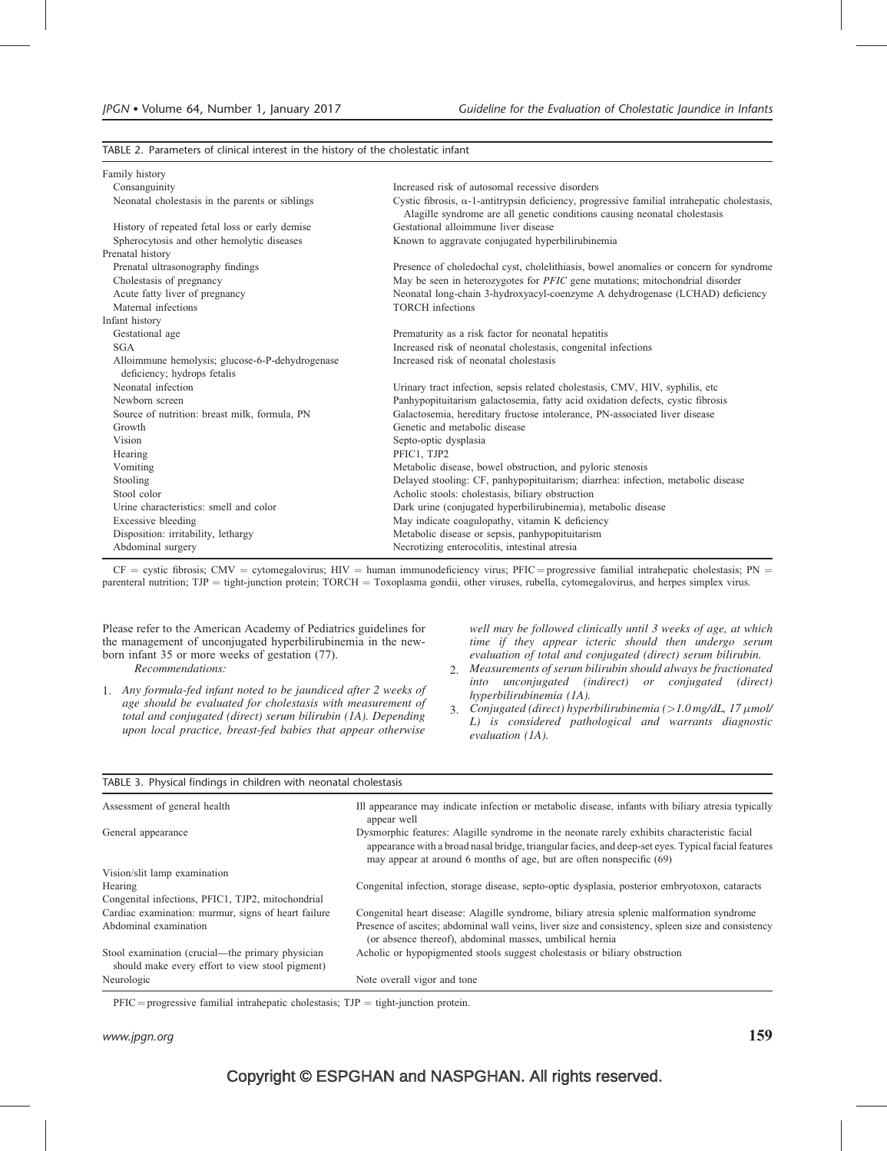TABLE 2. Parameters of clinical interest in the history of the cholestatic infant

| Family history                                                                 |                                                                                                                                                                                  |
|--------------------------------------------------------------------------------|----------------------------------------------------------------------------------------------------------------------------------------------------------------------------------|
| Consanguinity                                                                  | Increased risk of autosomal recessive disorders                                                                                                                                  |
| Neonatal cholestasis in the parents or siblings                                | Cystic fibrosis, $\alpha$ -1-antitrypsin deficiency, progressive familial intrahepatic cholestasis,<br>Alagille syndrome are all genetic conditions causing neonatal cholestasis |
| History of repeated fetal loss or early demise                                 | Gestational alloimmune liver disease                                                                                                                                             |
| Spherocytosis and other hemolytic diseases                                     | Known to aggravate conjugated hyperbilirubinemia                                                                                                                                 |
| Prenatal history                                                               |                                                                                                                                                                                  |
| Prenatal ultrasonography findings                                              | Presence of choledochal cyst, cholelithiasis, bowel anomalies or concern for syndrome                                                                                            |
| Cholestasis of pregnancy                                                       | May be seen in heterozygotes for PFIC gene mutations; mitochondrial disorder                                                                                                     |
| Acute fatty liver of pregnancy                                                 | Neonatal long-chain 3-hydroxyacyl-coenzyme A dehydrogenase (LCHAD) deficiency                                                                                                    |
| Maternal infections                                                            | <b>TORCH</b> infections                                                                                                                                                          |
| Infant history                                                                 |                                                                                                                                                                                  |
| Gestational age                                                                | Prematurity as a risk factor for neonatal hepatitis                                                                                                                              |
| <b>SGA</b>                                                                     | Increased risk of neonatal cholestasis, congenital infections                                                                                                                    |
| Alloimmune hemolysis; glucose-6-P-dehydrogenase<br>deficiency; hydrops fetalis | Increased risk of neonatal cholestasis                                                                                                                                           |
| Neonatal infection                                                             | Urinary tract infection, sepsis related cholestasis, CMV, HIV, syphilis, etc.                                                                                                    |
| Newborn screen                                                                 | Panhypopituitarism galactosemia, fatty acid oxidation defects, cystic fibrosis                                                                                                   |
| Source of nutrition: breast milk, formula, PN                                  | Galactosemia, hereditary fructose intolerance, PN-associated liver disease                                                                                                       |
| Growth                                                                         | Genetic and metabolic disease                                                                                                                                                    |
| Vision                                                                         | Septo-optic dysplasia                                                                                                                                                            |
| Hearing                                                                        | PFIC1, TJP2                                                                                                                                                                      |
| Vomiting                                                                       | Metabolic disease, bowel obstruction, and pyloric stenosis                                                                                                                       |
| Stooling                                                                       | Delayed stooling: CF, panhypopituitarism; diarrhea: infection, metabolic disease                                                                                                 |
| Stool color                                                                    | Acholic stools: cholestasis, biliary obstruction                                                                                                                                 |
| Urine characteristics: smell and color                                         | Dark urine (conjugated hyperbilirubinemia), metabolic disease                                                                                                                    |
| <b>Excessive bleeding</b>                                                      | May indicate coagulopathy, vitamin K deficiency                                                                                                                                  |
| Disposition: irritability, lethargy                                            | Metabolic disease or sepsis, panhypopituitarism                                                                                                                                  |
| Abdominal surgery                                                              | Necrotizing enterocolitis, intestinal atresia                                                                                                                                    |

 $CF = \text{cystic fibrosis}; \text{CMV} = \text{cytomegalovirus}; \text{HIV} = \text{human immunodeficiency virus}; \text{PFIC} = \text{progressive familiararhepatic cholesterolostasis}; \text{PN} = \text{cystic fibrosis}$ parenteral nutrition; TJP = tight-junction protein; TORCH = Toxoplasma gondii, other viruses, rubella, cytomegalovirus, and herpes simplex virus.

Please refer to the American Academy of Pediatrics guidelines for the management of unconjugated hyperbilirubinemia in the newborn infant 35 or more weeks of gestation (77).

Recommendations:

1. Any formula-fed infant noted to be jaundiced after 2 weeks of age should be evaluated for cholestasis with measurement of total and conjugated (direct) serum bilirubin (1A). Depending upon local practice, breast-fed babies that appear otherwise

well may be followed clinically until 3 weeks of age, at which time if they appear icteric should then undergo serum evaluation of total and conjugated (direct) serum bilirubin.

- 2. Measurements of serum bilirubin should always be fractionated into unconjugated (indirect) or conjugated (direct) hyperbilirubinemia (1A).
- 3. Conjugated (direct) hyperbilirubinemia  $(>1.0$  mg/dL, 17  $\mu$ mol/ L) is considered pathological and warrants diagnostic evaluation (1A).

| TABLE 3. Physical findings in children with neonatal cholestasis                                    |                                                                                                                                                                                                                                                                            |
|-----------------------------------------------------------------------------------------------------|----------------------------------------------------------------------------------------------------------------------------------------------------------------------------------------------------------------------------------------------------------------------------|
| Assessment of general health                                                                        | Ill appearance may indicate infection or metabolic disease, infants with biliary atresia typically<br>appear well                                                                                                                                                          |
| General appearance                                                                                  | Dysmorphic features: Alagille syndrome in the neonate rarely exhibits characteristic facial<br>appearance with a broad nasal bridge, triangular facies, and deep-set eyes. Typical facial features<br>may appear at around 6 months of age, but are often nonspecific (69) |
| Vision/slit lamp examination                                                                        |                                                                                                                                                                                                                                                                            |
| Hearing                                                                                             | Congenital infection, storage disease, septo-optic dysplasia, posterior embryotoxon, cataracts                                                                                                                                                                             |
| Congenital infections, PFIC1, TJP2, mitochondrial                                                   |                                                                                                                                                                                                                                                                            |
| Cardiac examination: murmur, signs of heart failure                                                 | Congenital heart disease: Alagille syndrome, biliary atresia splenic malformation syndrome                                                                                                                                                                                 |
| Abdominal examination                                                                               | Presence of ascites; abdominal wall veins, liver size and consistency, spleen size and consistency<br>(or absence thereof), abdominal masses, umbilical hernia                                                                                                             |
| Stool examination (crucial—the primary physician<br>should make every effort to view stool pigment) | Acholic or hypopigmented stools suggest cholestasis or biliary obstruction                                                                                                                                                                                                 |
| Neurologic                                                                                          | Note overall vigor and tone                                                                                                                                                                                                                                                |

 $PFIC =$  progressive familial intrahepatic cholestasis;  $TJP =$  tight-junction protein.

www.jpgn.org  $159$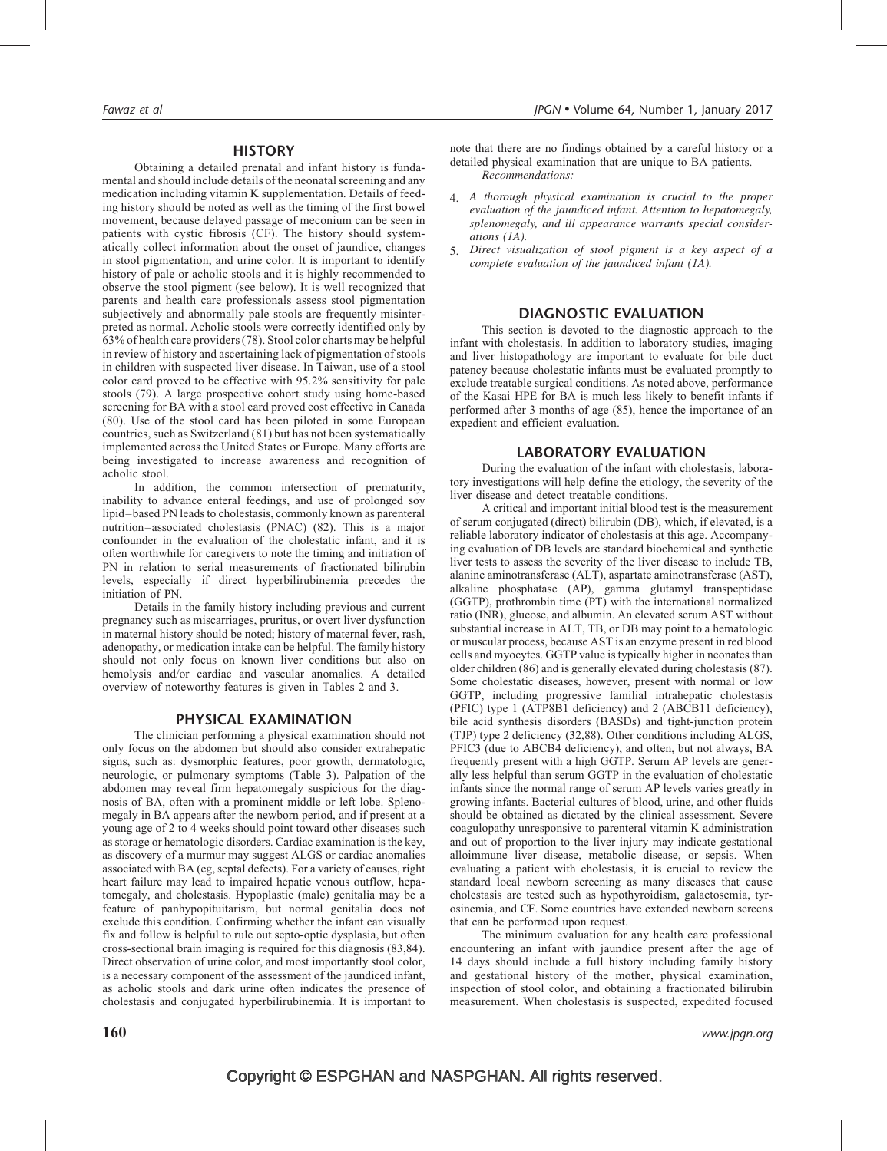#### **HISTORY**

Obtaining a detailed prenatal and infant history is fundamental and should include details of the neonatal screening and any medication including vitamin K supplementation. Details of feeding history should be noted as well as the timing of the first bowel movement, because delayed passage of meconium can be seen in patients with cystic fibrosis (CF). The history should systematically collect information about the onset of jaundice, changes in stool pigmentation, and urine color. It is important to identify history of pale or acholic stools and it is highly recommended to observe the stool pigment (see below). It is well recognized that parents and health care professionals assess stool pigmentation subjectively and abnormally pale stools are frequently misinterpreted as normal. Acholic stools were correctly identified only by 63% of health care providers (78). Stool color charts may be helpful in review of history and ascertaining lack of pigmentation of stools in children with suspected liver disease. In Taiwan, use of a stool color card proved to be effective with 95.2% sensitivity for pale stools (79). A large prospective cohort study using home-based screening for BA with a stool card proved cost effective in Canada (80). Use of the stool card has been piloted in some European countries, such as Switzerland (81) but has not been systematically implemented across the United States or Europe. Many efforts are being investigated to increase awareness and recognition of acholic stool.

In addition, the common intersection of prematurity, inability to advance enteral feedings, and use of prolonged soy lipid–based PN leads to cholestasis, commonly known as parenteral nutrition–associated cholestasis (PNAC) (82). This is a major confounder in the evaluation of the cholestatic infant, and it is often worthwhile for caregivers to note the timing and initiation of PN in relation to serial measurements of fractionated bilirubin levels, especially if direct hyperbilirubinemia precedes the initiation of PN.

Details in the family history including previous and current pregnancy such as miscarriages, pruritus, or overt liver dysfunction in maternal history should be noted; history of maternal fever, rash, adenopathy, or medication intake can be helpful. The family history should not only focus on known liver conditions but also on hemolysis and/or cardiac and vascular anomalies. A detailed overview of noteworthy features is given in Tables 2 and 3.

#### PHYSICAL EXAMINATION

The clinician performing a physical examination should not only focus on the abdomen but should also consider extrahepatic signs, such as: dysmorphic features, poor growth, dermatologic, neurologic, or pulmonary symptoms (Table 3). Palpation of the abdomen may reveal firm hepatomegaly suspicious for the diagnosis of BA, often with a prominent middle or left lobe. Splenomegaly in BA appears after the newborn period, and if present at a young age of 2 to 4 weeks should point toward other diseases such as storage or hematologic disorders. Cardiac examination is the key, as discovery of a murmur may suggest ALGS or cardiac anomalies associated with BA (eg, septal defects). For a variety of causes, right heart failure may lead to impaired hepatic venous outflow, hepatomegaly, and cholestasis. Hypoplastic (male) genitalia may be a feature of panhypopituitarism, but normal genitalia does not exclude this condition. Confirming whether the infant can visually fix and follow is helpful to rule out septo-optic dysplasia, but often cross-sectional brain imaging is required for this diagnosis (83,84). Direct observation of urine color, and most importantly stool color, is a necessary component of the assessment of the jaundiced infant, as acholic stools and dark urine often indicates the presence of cholestasis and conjugated hyperbilirubinemia. It is important to

note that there are no findings obtained by a careful history or a detailed physical examination that are unique to BA patients. Recommendations:

- 4. A thorough physical examination is crucial to the proper evaluation of the jaundiced infant. Attention to hepatomegaly, splenomegaly, and ill appearance warrants special considerations (1A).
- 5. Direct visualization of stool pigment is a key aspect of a complete evaluation of the jaundiced infant (1A).

# DIAGNOSTIC EVALUATION

This section is devoted to the diagnostic approach to the infant with cholestasis. In addition to laboratory studies, imaging and liver histopathology are important to evaluate for bile duct patency because cholestatic infants must be evaluated promptly to exclude treatable surgical conditions. As noted above, performance of the Kasai HPE for BA is much less likely to benefit infants if performed after 3 months of age (85), hence the importance of an expedient and efficient evaluation.

#### LABORATORY EVALUATION

During the evaluation of the infant with cholestasis, laboratory investigations will help define the etiology, the severity of the liver disease and detect treatable conditions.

A critical and important initial blood test is the measurement of serum conjugated (direct) bilirubin (DB), which, if elevated, is a reliable laboratory indicator of cholestasis at this age. Accompanying evaluation of DB levels are standard biochemical and synthetic liver tests to assess the severity of the liver disease to include TB, alanine aminotransferase (ALT), aspartate aminotransferase (AST), alkaline phosphatase (AP), gamma glutamyl transpeptidase (GGTP), prothrombin time (PT) with the international normalized ratio (INR), glucose, and albumin. An elevated serum AST without substantial increase in ALT, TB, or DB may point to a hematologic or muscular process, because AST is an enzyme present in red blood cells and myocytes. GGTP value is typically higher in neonates than older children (86) and is generally elevated during cholestasis (87). Some cholestatic diseases, however, present with normal or low GGTP, including progressive familial intrahepatic cholestasis (PFIC) type 1 (ATP8B1 deficiency) and 2 (ABCB11 deficiency), bile acid synthesis disorders (BASDs) and tight-junction protein (TJP) type 2 deficiency (32,88). Other conditions including ALGS, PFIC3 (due to ABCB4 deficiency), and often, but not always, BA frequently present with a high GGTP. Serum AP levels are generally less helpful than serum GGTP in the evaluation of cholestatic infants since the normal range of serum AP levels varies greatly in growing infants. Bacterial cultures of blood, urine, and other fluids should be obtained as dictated by the clinical assessment. Severe coagulopathy unresponsive to parenteral vitamin K administration and out of proportion to the liver injury may indicate gestational alloimmune liver disease, metabolic disease, or sepsis. When evaluating a patient with cholestasis, it is crucial to review the standard local newborn screening as many diseases that cause cholestasis are tested such as hypothyroidism, galactosemia, tyrosinemia, and CF. Some countries have extended newborn screens that can be performed upon request.

The minimum evaluation for any health care professional encountering an infant with jaundice present after the age of 14 days should include a full history including family history and gestational history of the mother, physical examination, inspection of stool color, and obtaining a fractionated bilirubin measurement. When cholestasis is suspected, expedited focused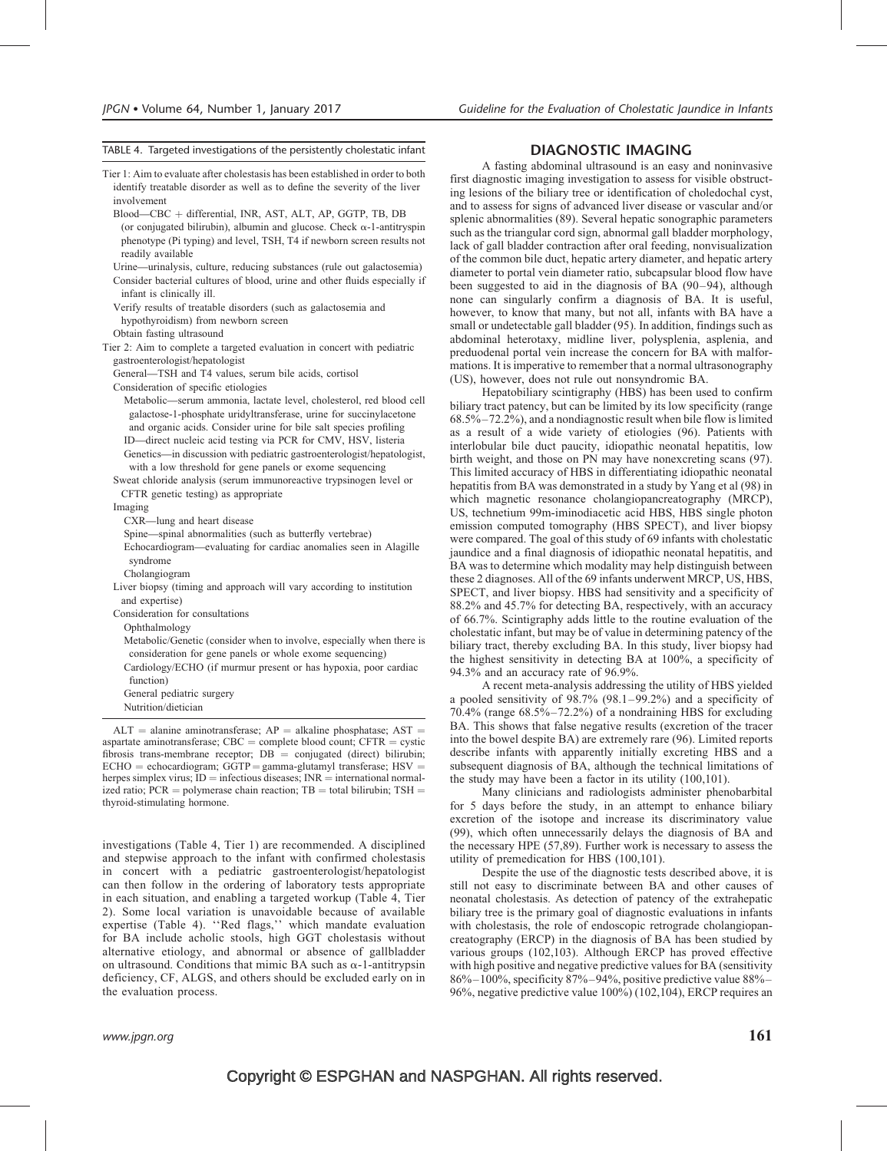#### TABLE 4. Targeted investigations of the persistently cholestatic infant

Tier 1: Aim to evaluate after cholestasis has been established in order to both identify treatable disorder as well as to define the severity of the liver involvement

Blood—CBC þ differential, INR, AST, ALT, AP, GGTP, TB, DB (or conjugated bilirubin), albumin and glucose. Check  $\alpha$ -1-antitryspin phenotype (Pi typing) and level, TSH, T4 if newborn screen results not readily available

Urine—urinalysis, culture, reducing substances (rule out galactosemia)

Consider bacterial cultures of blood, urine and other fluids especially if infant is clinically ill.

Verify results of treatable disorders (such as galactosemia and hypothyroidism) from newborn screen

Obtain fasting ultrasound

Tier 2: Aim to complete a targeted evaluation in concert with pediatric gastroenterologist/hepatologist

General—TSH and T4 values, serum bile acids, cortisol

Consideration of specific etiologies

Metabolic—serum ammonia, lactate level, cholesterol, red blood cell galactose-1-phosphate uridyltransferase, urine for succinylacetone and organic acids. Consider urine for bile salt species profiling ID—direct nucleic acid testing via PCR for CMV, HSV, listeria Genetics—in discussion with pediatric gastroenterologist/hepatologist,

with a low threshold for gene panels or exome sequencing Sweat chloride analysis (serum immunoreactive trypsinogen level or

CFTR genetic testing) as appropriate

#### Imaging

CXR—lung and heart disease

Spine—spinal abnormalities (such as butterfly vertebrae)

Echocardiogram—evaluating for cardiac anomalies seen in Alagille syndrome

Cholangiogram

Liver biopsy (timing and approach will vary according to institution and expertise)

Consideration for consultations

Ophthalmology

Metabolic/Genetic (consider when to involve, especially when there is consideration for gene panels or whole exome sequencing) Cardiology/ECHO (if murmur present or has hypoxia, poor cardiac

function)

General pediatric surgery

Nutrition/dietician

 $ALT =$  alanine aminotransferase;  $AP =$  alkaline phosphatase;  $AST =$ aspartate aminotransferase;  $CBC = complete blood count$ ; CFTR = cystic fibrosis trans-membrane receptor;  $DB =$  conjugated (direct) bilirubin;  $ECHO = echocardiogram$ ;  $GGTP = gamma-glutamyl transferase$ ;  $HSV =$ herpes simplex virus;  $ID =$  infectious diseases;  $INR =$  international normalized ratio;  $PCR = polymerase chain reaction$ ;  $TB = total bilirubin$ ;  $TSH =$ thyroid-stimulating hormone.

investigations (Table 4, Tier 1) are recommended. A disciplined and stepwise approach to the infant with confirmed cholestasis in concert with a pediatric gastroenterologist/hepatologist can then follow in the ordering of laboratory tests appropriate in each situation, and enabling a targeted workup (Table 4, Tier 2). Some local variation is unavoidable because of available expertise (Table 4). ''Red flags,'' which mandate evaluation for BA include acholic stools, high GGT cholestasis without alternative etiology, and abnormal or absence of gallbladder on ultrasound. Conditions that mimic BA such as  $\alpha$ -1-antitrypsin deficiency, CF, ALGS, and others should be excluded early on in the evaluation process.

#### DIAGNOSTIC IMAGING

A fasting abdominal ultrasound is an easy and noninvasive first diagnostic imaging investigation to assess for visible obstructing lesions of the biliary tree or identification of choledochal cyst, and to assess for signs of advanced liver disease or vascular and/or splenic abnormalities (89). Several hepatic sonographic parameters such as the triangular cord sign, abnormal gall bladder morphology, lack of gall bladder contraction after oral feeding, nonvisualization of the common bile duct, hepatic artery diameter, and hepatic artery diameter to portal vein diameter ratio, subcapsular blood flow have been suggested to aid in the diagnosis of BA (90–94), although none can singularly confirm a diagnosis of BA. It is useful, however, to know that many, but not all, infants with BA have a small or undetectable gall bladder (95). In addition, findings such as abdominal heterotaxy, midline liver, polysplenia, asplenia, and preduodenal portal vein increase the concern for BA with malformations. It is imperative to remember that a normal ultrasonography (US), however, does not rule out nonsyndromic BA.

Hepatobiliary scintigraphy (HBS) has been used to confirm biliary tract patency, but can be limited by its low specificity (range 68.5%–72.2%), and a nondiagnostic result when bile flow is limited as a result of a wide variety of etiologies (96). Patients with interlobular bile duct paucity, idiopathic neonatal hepatitis, low birth weight, and those on PN may have nonexcreting scans (97). This limited accuracy of HBS in differentiating idiopathic neonatal hepatitis from BA was demonstrated in a study by Yang et al (98) in which magnetic resonance cholangiopancreatography (MRCP), US, technetium 99m-iminodiacetic acid HBS, HBS single photon emission computed tomography (HBS SPECT), and liver biopsy were compared. The goal of this study of 69 infants with cholestatic jaundice and a final diagnosis of idiopathic neonatal hepatitis, and BA was to determine which modality may help distinguish between these 2 diagnoses. All of the 69 infants underwent MRCP, US, HBS, SPECT, and liver biopsy. HBS had sensitivity and a specificity of 88.2% and 45.7% for detecting BA, respectively, with an accuracy of 66.7%. Scintigraphy adds little to the routine evaluation of the cholestatic infant, but may be of value in determining patency of the biliary tract, thereby excluding BA. In this study, liver biopsy had the highest sensitivity in detecting BA at 100%, a specificity of 94.3% and an accuracy rate of 96.9%.

A recent meta-analysis addressing the utility of HBS yielded a pooled sensitivity of 98.7% (98.1–99.2%) and a specificity of 70.4% (range 68.5%–72.2%) of a nondraining HBS for excluding BA. This shows that false negative results (excretion of the tracer into the bowel despite BA) are extremely rare (96). Limited reports describe infants with apparently initially excreting HBS and a subsequent diagnosis of BA, although the technical limitations of the study may have been a factor in its utility (100,101).

Many clinicians and radiologists administer phenobarbital for 5 days before the study, in an attempt to enhance biliary excretion of the isotope and increase its discriminatory value (99), which often unnecessarily delays the diagnosis of BA and the necessary HPE (57,89). Further work is necessary to assess the utility of premedication for HBS (100,101).

Despite the use of the diagnostic tests described above, it is still not easy to discriminate between BA and other causes of neonatal cholestasis. As detection of patency of the extrahepatic biliary tree is the primary goal of diagnostic evaluations in infants with cholestasis, the role of endoscopic retrograde cholangiopancreatography (ERCP) in the diagnosis of BA has been studied by various groups (102,103). Although ERCP has proved effective with high positive and negative predictive values for BA (sensitivity 86%–100%, specificity 87%–94%, positive predictive value 88%– 96%, negative predictive value 100%) (102,104), ERCP requires an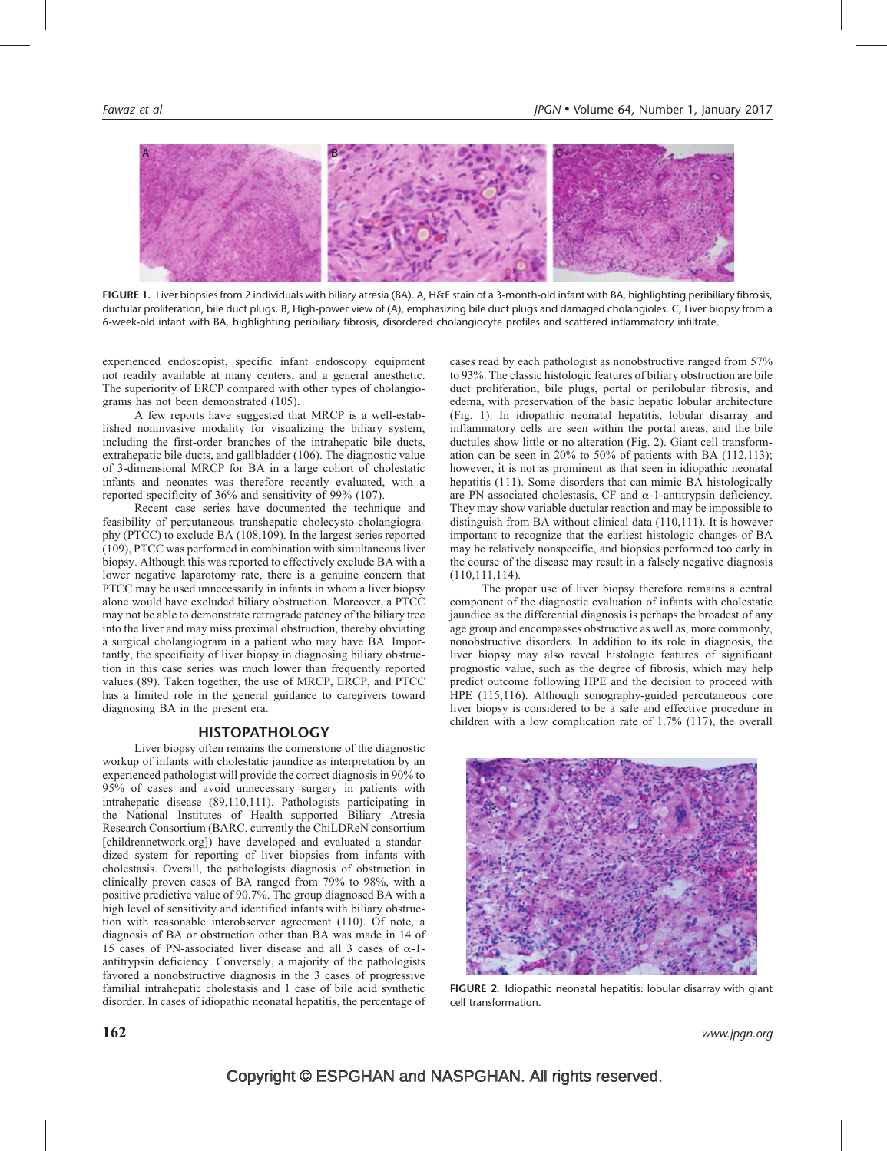

FIGURE 1. Liver biopsies from 2 individuals with biliary atresia (BA). A, H&E stain of a 3-month-old infant with BA, highlighting peribiliary fibrosis, ductular proliferation, bile duct plugs. B, High-power view of (A), emphasizing bile duct plugs and damaged cholangioles. C, Liver biopsy from a 6-week-old infant with BA, highlighting peribiliary fibrosis, disordered cholangiocyte profiles and scattered inflammatory infiltrate.

experienced endoscopist, specific infant endoscopy equipment not readily available at many centers, and a general anesthetic. The superiority of ERCP compared with other types of cholangiograms has not been demonstrated (105).

A few reports have suggested that MRCP is a well-established noninvasive modality for visualizing the biliary system, including the first-order branches of the intrahepatic bile ducts, extrahepatic bile ducts, and gallbladder (106). The diagnostic value of 3-dimensional MRCP for BA in a large cohort of cholestatic infants and neonates was therefore recently evaluated, with a reported specificity of 36% and sensitivity of 99% (107).

Recent case series have documented the technique and feasibility of percutaneous transhepatic cholecysto-cholangiography (PTCC) to exclude BA (108,109). In the largest series reported (109), PTCC was performed in combination with simultaneous liver biopsy. Although this was reported to effectively exclude BA with a lower negative laparotomy rate, there is a genuine concern that PTCC may be used unnecessarily in infants in whom a liver biopsy alone would have excluded biliary obstruction. Moreover, a PTCC may not be able to demonstrate retrograde patency of the biliary tree into the liver and may miss proximal obstruction, thereby obviating a surgical cholangiogram in a patient who may have BA. Importantly, the specificity of liver biopsy in diagnosing biliary obstruction in this case series was much lower than frequently reported values (89). Taken together, the use of MRCP, ERCP, and PTCC has a limited role in the general guidance to caregivers toward diagnosing BA in the present era.

#### **HISTOPATHOLOGY**

Liver biopsy often remains the cornerstone of the diagnostic workup of infants with cholestatic jaundice as interpretation by an experienced pathologist will provide the correct diagnosis in 90% to 95% of cases and avoid unnecessary surgery in patients with intrahepatic disease (89,110,111). Pathologists participating in the National Institutes of Health–supported Biliary Atresia Research Consortium (BARC, currently the ChiLDReN consortium [childrennetwork.org]) have developed and evaluated a standardized system for reporting of liver biopsies from infants with cholestasis. Overall, the pathologists diagnosis of obstruction in clinically proven cases of BA ranged from 79% to 98%, with a positive predictive value of 90.7%. The group diagnosed BA with a high level of sensitivity and identified infants with biliary obstruction with reasonable interobserver agreement (110). Of note, a diagnosis of BA or obstruction other than BA was made in 14 of 15 cases of PN-associated liver disease and all 3 cases of  $\alpha$ -1antitrypsin deficiency. Conversely, a majority of the pathologists favored a nonobstructive diagnosis in the 3 cases of progressive familial intrahepatic cholestasis and 1 case of bile acid synthetic disorder. In cases of idiopathic neonatal hepatitis, the percentage of cases read by each pathologist as nonobstructive ranged from 57% to 93%. The classic histologic features of biliary obstruction are bile duct proliferation, bile plugs, portal or perilobular fibrosis, and edema, with preservation of the basic hepatic lobular architecture (Fig. 1). In idiopathic neonatal hepatitis, lobular disarray and inflammatory cells are seen within the portal areas, and the bile ductules show little or no alteration (Fig. 2). Giant cell transformation can be seen in 20% to 50% of patients with BA (112,113); however, it is not as prominent as that seen in idiopathic neonatal hepatitis (111). Some disorders that can mimic BA histologically are PN-associated cholestasis, CF and  $\alpha$ -1-antitrypsin deficiency. They may show variable ductular reaction and may be impossible to distinguish from BA without clinical data (110,111). It is however important to recognize that the earliest histologic changes of BA may be relatively nonspecific, and biopsies performed too early in the course of the disease may result in a falsely negative diagnosis (110,111,114).

The proper use of liver biopsy therefore remains a central component of the diagnostic evaluation of infants with cholestatic jaundice as the differential diagnosis is perhaps the broadest of any age group and encompasses obstructive as well as, more commonly, nonobstructive disorders. In addition to its role in diagnosis, the liver biopsy may also reveal histologic features of significant prognostic value, such as the degree of fibrosis, which may help predict outcome following HPE and the decision to proceed with HPE (115,116). Although sonography-guided percutaneous core liver biopsy is considered to be a safe and effective procedure in children with a low complication rate of 1.7% (117), the overall



FIGURE 2. Idiopathic neonatal hepatitis: lobular disarray with giant cell transformation.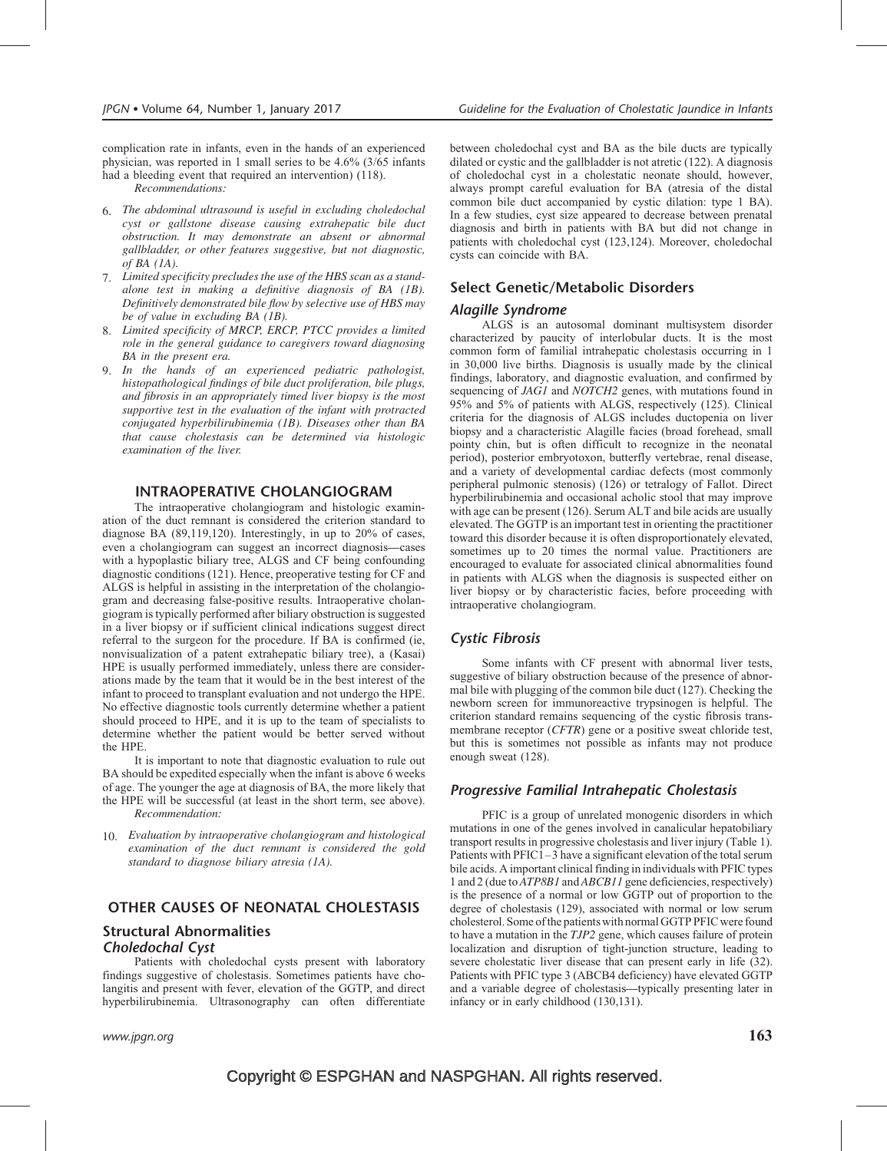complication rate in infants, even in the hands of an experienced physician, was reported in 1 small series to be 4.6% (3/65 infants had a bleeding event that required an intervention) (118).

Recommendations:

- 6. The abdominal ultrasound is useful in excluding choledochal cyst or gallstone disease causing extrahepatic bile duct obstruction. It may demonstrate an absent or abnormal gallbladder, or other features suggestive, but not diagnostic, of  $BA(IA)$ .
- 7. Limited specificity precludes the use of the HBS scan as a standalone test in making a definitive diagnosis of BA (1B). Definitively demonstrated bile flow by selective use of HBS may be of value in excluding BA (1B).
- 8. Limited specificity of MRCP, ERCP, PTCC provides a limited role in the general guidance to caregivers toward diagnosing BA in the present era.
- 9. In the hands of an experienced pediatric pathologist, histopathological findings of bile duct proliferation, bile plugs, and fibrosis in an appropriately timed liver biopsy is the most supportive test in the evaluation of the infant with protracted conjugated hyperbilirubinemia (1B). Diseases other than BA that cause cholestasis can be determined via histologic examination of the liver.

#### INTRAOPERATIVE CHOLANGIOGRAM

The intraoperative cholangiogram and histologic examination of the duct remnant is considered the criterion standard to diagnose BA (89,119,120). Interestingly, in up to 20% of cases, even a cholangiogram can suggest an incorrect diagnosis—cases with a hypoplastic biliary tree, ALGS and CF being confounding diagnostic conditions (121). Hence, preoperative testing for CF and ALGS is helpful in assisting in the interpretation of the cholangiogram and decreasing false-positive results. Intraoperative cholangiogram is typically performed after biliary obstruction is suggested in a liver biopsy or if sufficient clinical indications suggest direct referral to the surgeon for the procedure. If BA is confirmed (ie, nonvisualization of a patent extrahepatic biliary tree), a (Kasai) HPE is usually performed immediately, unless there are considerations made by the team that it would be in the best interest of the infant to proceed to transplant evaluation and not undergo the HPE. No effective diagnostic tools currently determine whether a patient should proceed to HPE, and it is up to the team of specialists to determine whether the patient would be better served without the HPE.

It is important to note that diagnostic evaluation to rule out BA should be expedited especially when the infant is above 6 weeks of age. The younger the age at diagnosis of BA, the more likely that the HPE will be successful (at least in the short term, see above). Recommendation:

10. Evaluation by intraoperative cholangiogram and histological examination of the duct remnant is considered the gold standard to diagnose biliary atresia (1A).

# OTHER CAUSES OF NEONATAL CHOLESTASIS

#### Structural Abnormalities Choledochal Cyst

Patients with choledochal cysts present with laboratory findings suggestive of cholestasis. Sometimes patients have cholangitis and present with fever, elevation of the GGTP, and direct hyperbilirubinemia. Ultrasonography can often differentiate

www.jpgn.org  $\hspace{1cm} 163$ 

between choledochal cyst and BA as the bile ducts are typically dilated or cystic and the gallbladder is not atretic (122). A diagnosis of choledochal cyst in a cholestatic neonate should, however, always prompt careful evaluation for BA (atresia of the distal common bile duct accompanied by cystic dilation: type 1 BA). In a few studies, cyst size appeared to decrease between prenatal diagnosis and birth in patients with BA but did not change in patients with choledochal cyst (123,124). Moreover, choledochal cysts can coincide with BA.

#### Select Genetic/Metabolic Disorders

#### Alagille Syndrome

ALGS is an autosomal dominant multisystem disorder characterized by paucity of interlobular ducts. It is the most common form of familial intrahepatic cholestasis occurring in 1 in 30,000 live births. Diagnosis is usually made by the clinical findings, laboratory, and diagnostic evaluation, and confirmed by sequencing of JAG1 and NOTCH2 genes, with mutations found in 95% and 5% of patients with ALGS, respectively (125). Clinical criteria for the diagnosis of ALGS includes ductopenia on liver biopsy and a characteristic Alagille facies (broad forehead, small pointy chin, but is often difficult to recognize in the neonatal period), posterior embryotoxon, butterfly vertebrae, renal disease, and a variety of developmental cardiac defects (most commonly peripheral pulmonic stenosis) (126) or tetralogy of Fallot. Direct hyperbilirubinemia and occasional acholic stool that may improve with age can be present (126). Serum ALT and bile acids are usually elevated. The GGTP is an important test in orienting the practitioner toward this disorder because it is often disproportionately elevated, sometimes up to 20 times the normal value. Practitioners are encouraged to evaluate for associated clinical abnormalities found in patients with ALGS when the diagnosis is suspected either on liver biopsy or by characteristic facies, before proceeding with intraoperative cholangiogram.

# Cystic Fibrosis

Some infants with CF present with abnormal liver tests, suggestive of biliary obstruction because of the presence of abnormal bile with plugging of the common bile duct (127). Checking the newborn screen for immunoreactive trypsinogen is helpful. The criterion standard remains sequencing of the cystic fibrosis transmembrane receptor (CFTR) gene or a positive sweat chloride test, but this is sometimes not possible as infants may not produce enough sweat (128).

#### Progressive Familial Intrahepatic Cholestasis

PFIC is a group of unrelated monogenic disorders in which mutations in one of the genes involved in canalicular hepatobiliary transport results in progressive cholestasis and liver injury (Table 1). Patients with PFIC1–3 have a significant elevation of the total serum bile acids. A important clinical finding in individuals with PFIC types 1 and 2 (due to ATP8B1 and ABCB11 gene deficiencies, respectively) is the presence of a normal or low GGTP out of proportion to the degree of cholestasis (129), associated with normal or low serum cholesterol. Some of the patients with normal GGTP PFIC were found to have a mutation in the TJP2 gene, which causes failure of protein localization and disruption of tight-junction structure, leading to severe cholestatic liver disease that can present early in life (32). Patients with PFIC type 3 (ABCB4 deficiency) have elevated GGTP and a variable degree of cholestasis—typically presenting later in infancy or in early childhood (130,131).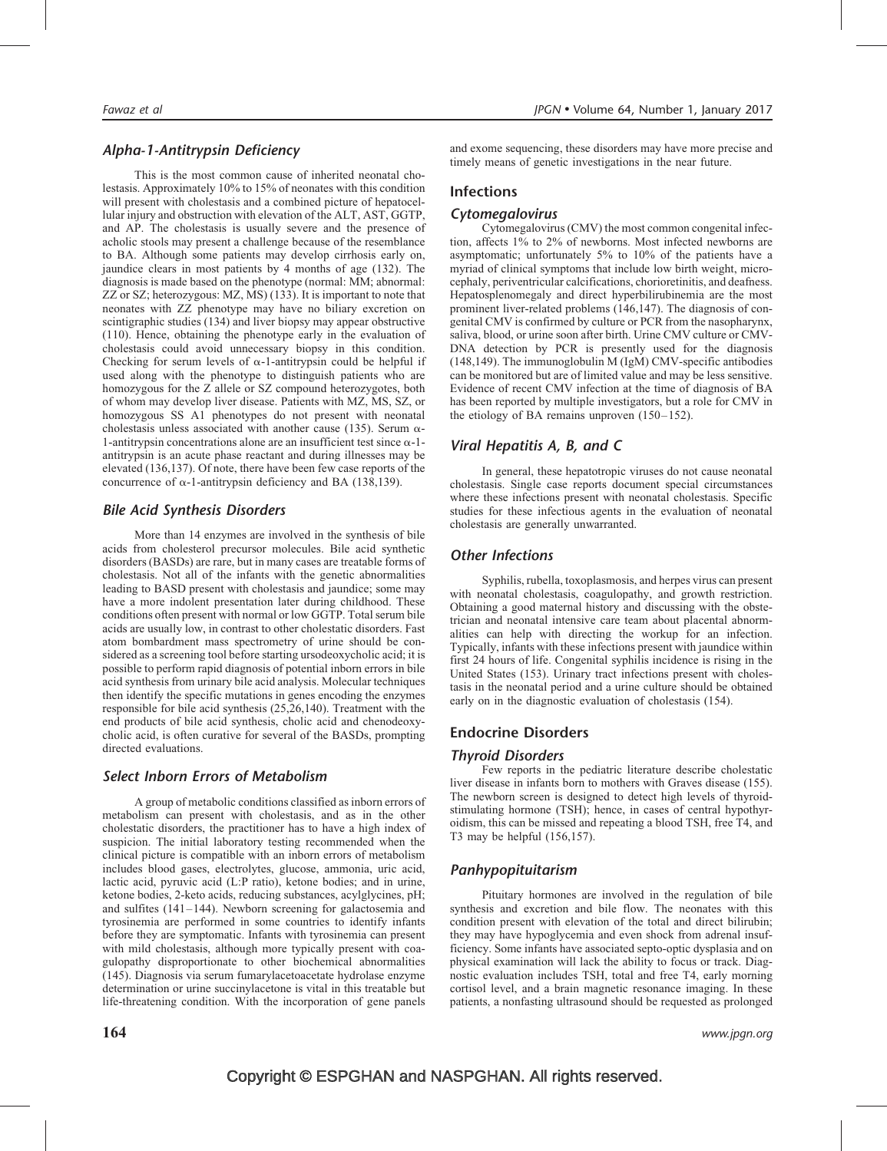# Alpha-1-Antitrypsin Deficiency

This is the most common cause of inherited neonatal cholestasis. Approximately 10% to 15% of neonates with this condition will present with cholestasis and a combined picture of hepatocellular injury and obstruction with elevation of the ALT, AST, GGTP, and AP. The cholestasis is usually severe and the presence of acholic stools may present a challenge because of the resemblance to BA. Although some patients may develop cirrhosis early on, jaundice clears in most patients by 4 months of age (132). The diagnosis is made based on the phenotype (normal: MM; abnormal: ZZ or SZ; heterozygous: MZ, MS) (133). It is important to note that neonates with ZZ phenotype may have no biliary excretion on scintigraphic studies (134) and liver biopsy may appear obstructive (110). Hence, obtaining the phenotype early in the evaluation of cholestasis could avoid unnecessary biopsy in this condition. Checking for serum levels of  $\alpha$ -1-antitrypsin could be helpful if used along with the phenotype to distinguish patients who are homozygous for the Z allele or SZ compound heterozygotes, both of whom may develop liver disease. Patients with MZ, MS, SZ, or homozygous SS A1 phenotypes do not present with neonatal cholestasis unless associated with another cause (135). Serum  $\alpha$ -1-antitrypsin concentrations alone are an insufficient test since  $\alpha$ -1antitrypsin is an acute phase reactant and during illnesses may be elevated (136,137). Of note, there have been few case reports of the concurrence of  $\alpha$ -1-antitrypsin deficiency and BA (138,139).

# Bile Acid Synthesis Disorders

More than 14 enzymes are involved in the synthesis of bile acids from cholesterol precursor molecules. Bile acid synthetic disorders (BASDs) are rare, but in many cases are treatable forms of cholestasis. Not all of the infants with the genetic abnormalities leading to BASD present with cholestasis and jaundice; some may have a more indolent presentation later during childhood. These conditions often present with normal or low GGTP. Total serum bile acids are usually low, in contrast to other cholestatic disorders. Fast atom bombardment mass spectrometry of urine should be considered as a screening tool before starting ursodeoxycholic acid; it is possible to perform rapid diagnosis of potential inborn errors in bile acid synthesis from urinary bile acid analysis. Molecular techniques then identify the specific mutations in genes encoding the enzymes responsible for bile acid synthesis (25,26,140). Treatment with the end products of bile acid synthesis, cholic acid and chenodeoxycholic acid, is often curative for several of the BASDs, prompting directed evaluations.

# Select Inborn Errors of Metabolism

A group of metabolic conditions classified as inborn errors of metabolism can present with cholestasis, and as in the other cholestatic disorders, the practitioner has to have a high index of suspicion. The initial laboratory testing recommended when the clinical picture is compatible with an inborn errors of metabolism includes blood gases, electrolytes, glucose, ammonia, uric acid, lactic acid, pyruvic acid (L:P ratio), ketone bodies; and in urine, ketone bodies, 2-keto acids, reducing substances, acylglycines, pH; and sulfites (141–144). Newborn screening for galactosemia and tyrosinemia are performed in some countries to identify infants before they are symptomatic. Infants with tyrosinemia can present with mild cholestasis, although more typically present with coagulopathy disproportionate to other biochemical abnormalities (145). Diagnosis via serum fumarylacetoacetate hydrolase enzyme determination or urine succinylacetone is vital in this treatable but life-threatening condition. With the incorporation of gene panels

# Infections

# Cytomegalovirus

Cytomegalovirus (CMV) the most common congenital infection, affects 1% to 2% of newborns. Most infected newborns are asymptomatic; unfortunately 5% to 10% of the patients have a myriad of clinical symptoms that include low birth weight, microcephaly, periventricular calcifications, chorioretinitis, and deafness. Hepatosplenomegaly and direct hyperbilirubinemia are the most prominent liver-related problems (146,147). The diagnosis of congenital CMV is confirmed by culture or PCR from the nasopharynx, saliva, blood, or urine soon after birth. Urine CMV culture or CMV-DNA detection by PCR is presently used for the diagnosis (148,149). The immunoglobulin M (IgM) CMV-specific antibodies can be monitored but are of limited value and may be less sensitive. Evidence of recent CMV infection at the time of diagnosis of BA has been reported by multiple investigators, but a role for CMV in the etiology of BA remains unproven (150–152).

# Viral Hepatitis A, B, and C

In general, these hepatotropic viruses do not cause neonatal cholestasis. Single case reports document special circumstances where these infections present with neonatal cholestasis. Specific studies for these infectious agents in the evaluation of neonatal cholestasis are generally unwarranted.

# Other Infections

Syphilis, rubella, toxoplasmosis, and herpes virus can present with neonatal cholestasis, coagulopathy, and growth restriction. Obtaining a good maternal history and discussing with the obstetrician and neonatal intensive care team about placental abnormalities can help with directing the workup for an infection. Typically, infants with these infections present with jaundice within first 24 hours of life. Congenital syphilis incidence is rising in the United States (153). Urinary tract infections present with cholestasis in the neonatal period and a urine culture should be obtained early on in the diagnostic evaluation of cholestasis (154).

# Endocrine Disorders

# Thyroid Disorders

Few reports in the pediatric literature describe cholestatic liver disease in infants born to mothers with Graves disease (155). The newborn screen is designed to detect high levels of thyroidstimulating hormone (TSH); hence, in cases of central hypothyroidism, this can be missed and repeating a blood TSH, free T4, and T3 may be helpful (156,157).

# Panhypopituitarism

Pituitary hormones are involved in the regulation of bile synthesis and excretion and bile flow. The neonates with this condition present with elevation of the total and direct bilirubin; they may have hypoglycemia and even shock from adrenal insufficiency. Some infants have associated septo-optic dysplasia and on physical examination will lack the ability to focus or track. Diagnostic evaluation includes TSH, total and free T4, early morning cortisol level, and a brain magnetic resonance imaging. In these patients, a nonfasting ultrasound should be requested as prolonged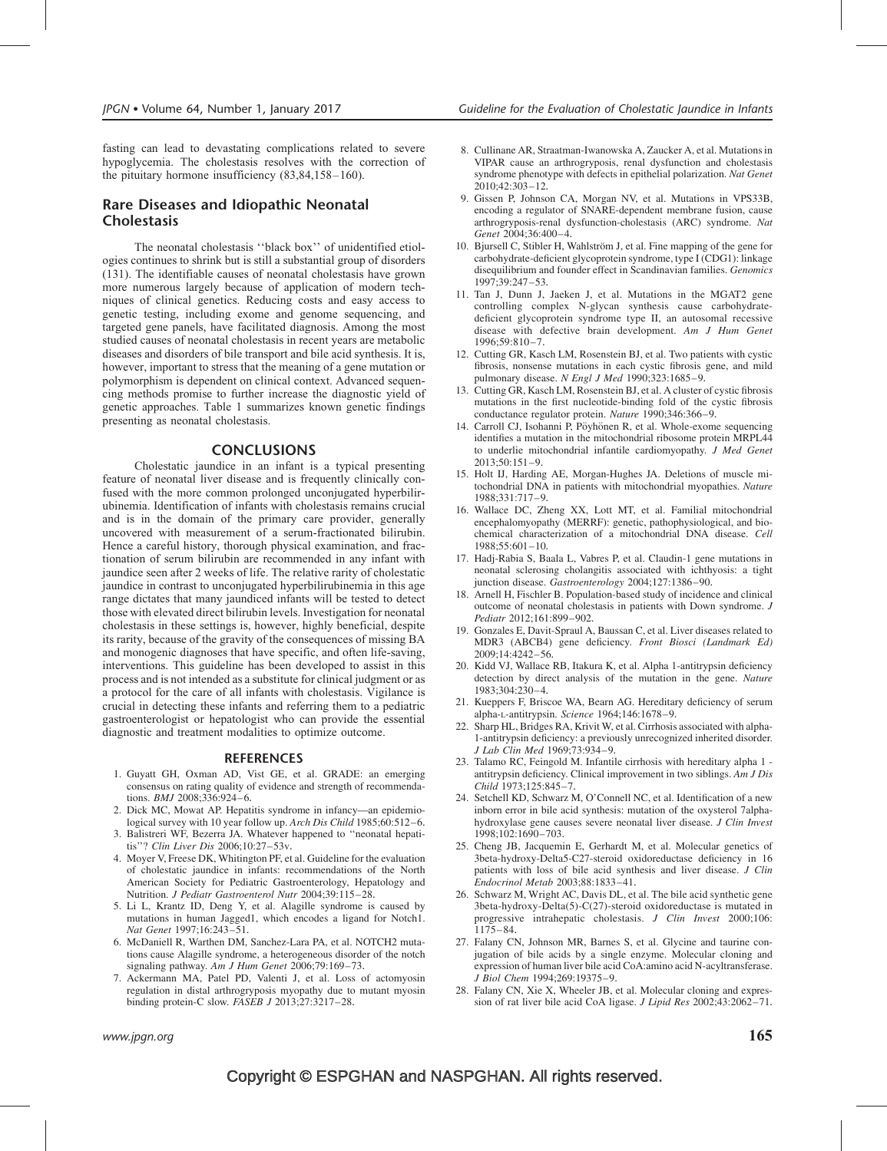fasting can lead to devastating complications related to severe hypoglycemia. The cholestasis resolves with the correction of the pituitary hormone insufficiency (83,84,158–160).

# Rare Diseases and Idiopathic Neonatal **Cholestasis**

The neonatal cholestasis ''black box'' of unidentified etiologies continues to shrink but is still a substantial group of disorders (131). The identifiable causes of neonatal cholestasis have grown more numerous largely because of application of modern techniques of clinical genetics. Reducing costs and easy access to genetic testing, including exome and genome sequencing, and targeted gene panels, have facilitated diagnosis. Among the most studied causes of neonatal cholestasis in recent years are metabolic diseases and disorders of bile transport and bile acid synthesis. It is, however, important to stress that the meaning of a gene mutation or polymorphism is dependent on clinical context. Advanced sequencing methods promise to further increase the diagnostic yield of genetic approaches. Table 1 summarizes known genetic findings presenting as neonatal cholestasis.

# CONCLUSIONS

Cholestatic jaundice in an infant is a typical presenting feature of neonatal liver disease and is frequently clinically confused with the more common prolonged unconjugated hyperbilirubinemia. Identification of infants with cholestasis remains crucial and is in the domain of the primary care provider, generally uncovered with measurement of a serum-fractionated bilirubin. Hence a careful history, thorough physical examination, and fractionation of serum bilirubin are recommended in any infant with jaundice seen after 2 weeks of life. The relative rarity of cholestatic jaundice in contrast to unconjugated hyperbilirubinemia in this age range dictates that many jaundiced infants will be tested to detect those with elevated direct bilirubin levels. Investigation for neonatal cholestasis in these settings is, however, highly beneficial, despite its rarity, because of the gravity of the consequences of missing BA and monogenic diagnoses that have specific, and often life-saving, interventions. This guideline has been developed to assist in this process and is not intended as a substitute for clinical judgment or as a protocol for the care of all infants with cholestasis. Vigilance is crucial in detecting these infants and referring them to a pediatric gastroenterologist or hepatologist who can provide the essential diagnostic and treatment modalities to optimize outcome.

#### REFERENCES

- 1. Guyatt GH, Oxman AD, Vist GE, et al. GRADE: an emerging consensus on rating quality of evidence and strength of recommendations. BMJ 2008;336:924–6.
- 2. Dick MC, Mowat AP. Hepatitis syndrome in infancy—an epidemiological survey with 10 year follow up. Arch Dis Child 1985;60:512-6.
- 3. Balistreri WF, Bezerra JA. Whatever happened to ''neonatal hepatitis''? Clin Liver Dis 2006;10:27–53v.
- 4. Moyer V, Freese DK, Whitington PF, et al. Guideline for the evaluation of cholestatic jaundice in infants: recommendations of the North American Society for Pediatric Gastroenterology, Hepatology and Nutrition. J Pediatr Gastroenterol Nutr 2004;39:115–28.
- 5. Li L, Krantz ID, Deng Y, et al. Alagille syndrome is caused by mutations in human Jagged1, which encodes a ligand for Notch1. Nat Genet 1997;16:243–51.
- 6. McDaniell R, Warthen DM, Sanchez-Lara PA, et al. NOTCH2 mutations cause Alagille syndrome, a heterogeneous disorder of the notch signaling pathway. Am J Hum Genet 2006;79:169-73.
- 7. Ackermann MA, Patel PD, Valenti J, et al. Loss of actomyosin regulation in distal arthrogryposis myopathy due to mutant myosin binding protein-C slow. FASEB J 2013;27:3217–28.
- 8. Cullinane AR, Straatman-Iwanowska A, Zaucker A, et al. Mutations in VIPAR cause an arthrogryposis, renal dysfunction and cholestasis syndrome phenotype with defects in epithelial polarization. Nat Genet  $2010:42:303-12.$
- 9. Gissen P, Johnson CA, Morgan NV, et al. Mutations in VPS33B, encoding a regulator of SNARE-dependent membrane fusion, cause arthrogryposis-renal dysfunction-cholestasis (ARC) syndrome. Nat Genet 2004;36:400–4.
- 10. Bjursell C, Stibler H, Wahlström J, et al. Fine mapping of the gene for carbohydrate-deficient glycoprotein syndrome, type I (CDG1): linkage disequilibrium and founder effect in Scandinavian families. Genomics 1997;39:247–53.
- 11. Tan J, Dunn J, Jaeken J, et al. Mutations in the MGAT2 gene controlling complex N-glycan synthesis cause carbohydratedeficient glycoprotein syndrome type II, an autosomal recessive disease with defective brain development. Am J Hum Genet 1996;59:810–7.
- 12. Cutting GR, Kasch LM, Rosenstein BJ, et al. Two patients with cystic fibrosis, nonsense mutations in each cystic fibrosis gene, and mild pulmonary disease. N Engl J Med 1990;323:1685–9.
- 13. Cutting GR, Kasch LM, Rosenstein BJ, et al. A cluster of cystic fibrosis mutations in the first nucleotide-binding fold of the cystic fibrosis conductance regulator protein. Nature 1990;346:366–9.
- 14. Carroll CJ, Isohanni P, Pöyhönen R, et al. Whole-exome sequencing identifies a mutation in the mitochondrial ribosome protein MRPL44 to underlie mitochondrial infantile cardiomyopathy. J Med Genet 2013;50:151–9.
- 15. Holt IJ, Harding AE, Morgan-Hughes JA. Deletions of muscle mitochondrial DNA in patients with mitochondrial myopathies. Nature 1988;331:717–9.
- 16. Wallace DC, Zheng XX, Lott MT, et al. Familial mitochondrial encephalomyopathy (MERRF): genetic, pathophysiological, and biochemical characterization of a mitochondrial DNA disease. Cell 1988;55:601–10.
- 17. Hadj-Rabia S, Baala L, Vabres P, et al. Claudin-1 gene mutations in neonatal sclerosing cholangitis associated with ichthyosis: a tight junction disease. Gastroenterology 2004;127:1386–90.
- 18. Arnell H, Fischler B. Population-based study of incidence and clinical outcome of neonatal cholestasis in patients with Down syndrome. J Pediatr 2012;161:899–902.
- 19. Gonzales E, Davit-Spraul A, Baussan C, et al. Liver diseases related to MDR3 (ABCB4) gene deficiency. Front Biosci (Landmark Ed) 2009;14:4242–56.
- 20. Kidd VJ, Wallace RB, Itakura K, et al. Alpha 1-antitrypsin deficiency detection by direct analysis of the mutation in the gene. Nature 1983;304:230–4.
- 21. Kueppers F, Briscoe WA, Bearn AG. Hereditary deficiency of serum alpha-L-antitrypsin. Science 1964;146:1678–9.
- 22. Sharp HL, Bridges RA, Krivit W, et al. Cirrhosis associated with alpha-1-antitrypsin deficiency: a previously unrecognized inherited disorder. J Lab Clin Med 1969;73:934–9.
- 23. Talamo RC, Feingold M. Infantile cirrhosis with hereditary alpha 1 antitrypsin deficiency. Clinical improvement in two siblings. Am J Dis Child 1973;125:845–7.
- 24. Setchell KD, Schwarz M, O'Connell NC, et al. Identification of a new inborn error in bile acid synthesis: mutation of the oxysterol 7alphahydroxylase gene causes severe neonatal liver disease. J Clin Invest 1998;102:1690–703.
- 25. Cheng JB, Jacquemin E, Gerhardt M, et al. Molecular genetics of 3beta-hydroxy-Delta5-C27-steroid oxidoreductase deficiency in 16 patients with loss of bile acid synthesis and liver disease. J Clin Endocrinol Metab 2003;88:1833–41.
- 26. Schwarz M, Wright AC, Davis DL, et al. The bile acid synthetic gene 3beta-hydroxy-Delta(5)-C(27)-steroid oxidoreductase is mutated in progressive intrahepatic cholestasis. J Clin Invest 2000;106:  $1175 - 84$ .
- 27. Falany CN, Johnson MR, Barnes S, et al. Glycine and taurine conjugation of bile acids by a single enzyme. Molecular cloning and expression of human liver bile acid CoA:amino acid N-acyltransferase. J Biol Chem 1994;269:19375–9.
- 28. Falany CN, Xie X, Wheeler JB, et al. Molecular cloning and expression of rat liver bile acid CoA ligase. J Lipid Res 2002;43:2062–71.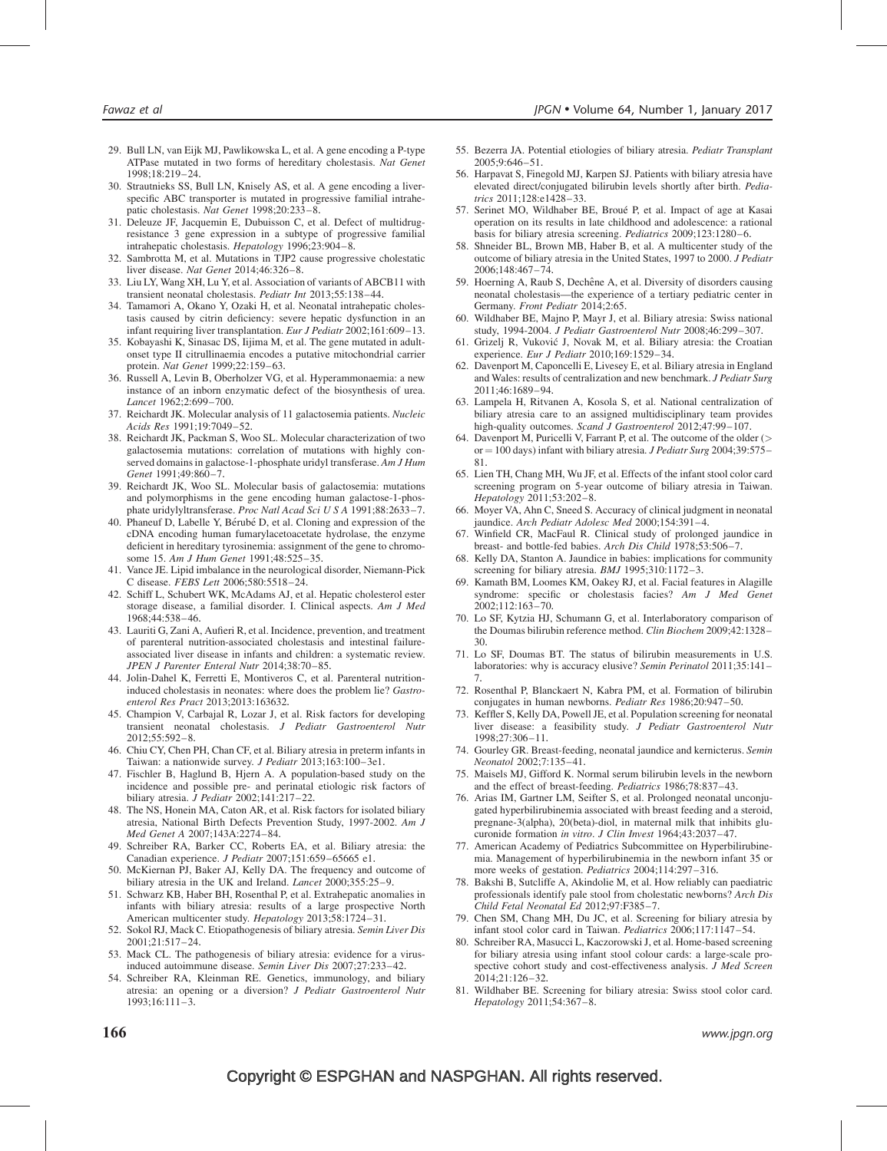- 29. Bull LN, van Eijk MJ, Pawlikowska L, et al. A gene encoding a P-type ATPase mutated in two forms of hereditary cholestasis. Nat Genet 1998;18:219–24.
- 30. Strautnieks SS, Bull LN, Knisely AS, et al. A gene encoding a liverspecific ABC transporter is mutated in progressive familial intrahepatic cholestasis. Nat Genet 1998;20:233–8.
- 31. Deleuze JF, Jacquemin E, Dubuisson C, et al. Defect of multidrugresistance 3 gene expression in a subtype of progressive familial intrahepatic cholestasis. Hepatology 1996;23:904–8.
- 32. Sambrotta M, et al. Mutations in TJP2 cause progressive cholestatic liver disease. Nat Genet 2014;46:326–8.
- 33. Liu LY, Wang XH, Lu Y, et al. Association of variants of ABCB11 with transient neonatal cholestasis. Pediatr Int 2013;55:138–44.
- 34. Tamamori A, Okano Y, Ozaki H, et al. Neonatal intrahepatic cholestasis caused by citrin deficiency: severe hepatic dysfunction in an infant requiring liver transplantation. Eur J Pediatr 2002;161:609-13.
- 35. Kobayashi K, Sinasac DS, Iijima M, et al. The gene mutated in adultonset type II citrullinaemia encodes a putative mitochondrial carrier protein. Nat Genet 1999;22:159–63.
- 36. Russell A, Levin B, Oberholzer VG, et al. Hyperammonaemia: a new instance of an inborn enzymatic defect of the biosynthesis of urea. Lancet 1962;2:699–700.
- 37. Reichardt JK. Molecular analysis of 11 galactosemia patients. Nucleic Acids Res 1991;19:7049–52.
- 38. Reichardt JK, Packman S, Woo SL. Molecular characterization of two galactosemia mutations: correlation of mutations with highly conserved domains in galactose-1-phosphate uridyl transferase. Am J Hum Genet 1991;49:860–7.
- 39. Reichardt JK, Woo SL. Molecular basis of galactosemia: mutations and polymorphisms in the gene encoding human galactose-1-phosphate uridylyltransferase. Proc Natl Acad Sci U S A 1991;88:2633–7.
- 40. Phaneuf D, Labelle Y, Bérubé D, et al. Cloning and expression of the cDNA encoding human fumarylacetoacetate hydrolase, the enzyme deficient in hereditary tyrosinemia: assignment of the gene to chromosome 15. Am J Hum Genet 1991;48:525-35.
- 41. Vance JE. Lipid imbalance in the neurological disorder, Niemann-Pick C disease. FEBS Lett 2006;580:5518–24.
- 42. Schiff L, Schubert WK, McAdams AJ, et al. Hepatic cholesterol ester storage disease, a familial disorder. I. Clinical aspects. Am J Med 1968;44:538–46.
- 43. Lauriti G, Zani A, Aufieri R, et al. Incidence, prevention, and treatment of parenteral nutrition-associated cholestasis and intestinal failureassociated liver disease in infants and children: a systematic review. JPEN J Parenter Enteral Nutr 2014;38:70–85.
- 44. Jolin-Dahel K, Ferretti E, Montiveros C, et al. Parenteral nutritioninduced cholestasis in neonates: where does the problem lie? Gastroenterol Res Pract 2013;2013:163632.
- 45. Champion V, Carbajal R, Lozar J, et al. Risk factors for developing transient neonatal cholestasis. J Pediatr Gastroenterol Nutr 2012;55:592–8.
- 46. Chiu CY, Chen PH, Chan CF, et al. Biliary atresia in preterm infants in Taiwan: a nationwide survey. J Pediatr 2013;163:100–3e1.
- 47. Fischler B, Haglund B, Hjern A. A population-based study on the incidence and possible pre- and perinatal etiologic risk factors of biliary atresia.  $\overline{J}$  Pediatr 2002;141:217-22.
- 48. The NS, Honein MA, Caton AR, et al. Risk factors for isolated biliary atresia, National Birth Defects Prevention Study, 1997-2002. Am J Med Genet A 2007;143A:2274–84.
- 49. Schreiber RA, Barker CC, Roberts EA, et al. Biliary atresia: the Canadian experience. J Pediatr 2007;151:659–65665 e1.
- 50. McKiernan PJ, Baker AJ, Kelly DA. The frequency and outcome of biliary atresia in the UK and Ireland. *Lancet* 2000;355:25-9.
- 51. Schwarz KB, Haber BH, Rosenthal P, et al. Extrahepatic anomalies in infants with biliary atresia: results of a large prospective North American multicenter study. Hepatology 2013;58:1724–31.
- 52. Sokol RJ, Mack C. Etiopathogenesis of biliary atresia. Semin Liver Dis  $2001:21:517-24$
- 53. Mack CL. The pathogenesis of biliary atresia: evidence for a virusinduced autoimmune disease. Semin Liver Dis 2007;27:233–42.
- 54. Schreiber RA, Kleinman RE. Genetics, immunology, and biliary atresia: an opening or a diversion? J Pediatr Gastroenterol Nutr 1993;16:111–3.
- 55. Bezerra JA. Potential etiologies of biliary atresia. Pediatr Transplant 2005;9:646–51.
- 56. Harpavat S, Finegold MJ, Karpen SJ. Patients with biliary atresia have elevated direct/conjugated bilirubin levels shortly after birth. Pediatrics 2011;128:e1428–33.
- 57. Serinet MO, Wildhaber BE, Broué P, et al. Impact of age at Kasai operation on its results in late childhood and adolescence: a rational basis for biliary atresia screening. Pediatrics 2009;123:1280–6.
- 58. Shneider BL, Brown MB, Haber B, et al. A multicenter study of the outcome of biliary atresia in the United States, 1997 to 2000. J Pediatr 2006;148:467–74.
- 59. Hoerning A, Raub S, Dechêne A, et al. Diversity of disorders causing neonatal cholestasis—the experience of a tertiary pediatric center in Germany. Front Pediatr 2014;2:65.
- 60. Wildhaber BE, Majno P, Mayr J, et al. Biliary atresia: Swiss national study, 1994-2004. J Pediatr Gastroenterol Nutr 2008;46:299–307.
- 61. Grizelj R, Vukovic´ J, Novak M, et al. Biliary atresia: the Croatian experience. Eur J Pediatr 2010;169:1529–34.
- 62. Davenport M, Caponcelli E, Livesey E, et al. Biliary atresia in England and Wales: results of centralization and new benchmark. J Pediatr Surg 2011;46:1689–94.
- 63. Lampela H, Ritvanen A, Kosola S, et al. National centralization of biliary atresia care to an assigned multidisciplinary team provides high-quality outcomes. Scand J Gastroenterol 2012;47:99-107.
- 64. Davenport M, Puricelli V, Farrant P, et al. The outcome of the older (> or  $= 100$  days) infant with biliary atresia. *J Pediatr Surg* 2004;39:575– 81.
- 65. Lien TH, Chang MH, Wu JF, et al. Effects of the infant stool color card screening program on 5-year outcome of biliary atresia in Taiwan. Hepatology 2011;53:202–8.
- 66. Moyer VA, Ahn C, Sneed S. Accuracy of clinical judgment in neonatal jaundice. Arch Pediatr Adolesc Med 2000;154:391–4.
- 67. Winfield CR, MacFaul R. Clinical study of prolonged jaundice in breast- and bottle-fed babies. Arch Dis Child 1978;53:506–7.
- 68. Kelly DA, Stanton A. Jaundice in babies: implications for community screening for biliary atresia. BMJ 1995;310:1172-3.
- 69. Kamath BM, Loomes KM, Oakey RJ, et al. Facial features in Alagille syndrome: specific or cholestasis facies? Am J Med Genet 2002;112:163–70.
- 70. Lo SF, Kytzia HJ, Schumann G, et al. Interlaboratory comparison of the Doumas bilirubin reference method. Clin Biochem 2009;42:1328– 30.
- 71. Lo SF, Doumas BT. The status of bilirubin measurements in U.S. laboratories: why is accuracy elusive? Semin Perinatol 2011;35:141– 7.
- 72. Rosenthal P, Blanckaert N, Kabra PM, et al. Formation of bilirubin conjugates in human newborns. Pediatr Res 1986;20:947–50.
- 73. Keffler S, Kelly DA, Powell JE, et al. Population screening for neonatal liver disease: a feasibility study. J Pediatr Gastroenterol Nutr 1998;27:306–11.
- 74. Gourley GR. Breast-feeding, neonatal jaundice and kernicterus. Semin Neonatol 2002;7:135–41.
- 75. Maisels MJ, Gifford K. Normal serum bilirubin levels in the newborn and the effect of breast-feeding. Pediatrics 1986;78:837–43.
- 76. Arias IM, Gartner LM, Seifter S, et al. Prolonged neonatal unconjugated hyperbilirubinemia associated with breast feeding and a steroid, pregnane-3(alpha), 20(beta)-diol, in maternal milk that inhibits glucuronide formation in vitro. J Clin Invest 1964;43:2037–47.
- 77. American Academy of Pediatrics Subcommittee on Hyperbilirubinemia. Management of hyperbilirubinemia in the newborn infant 35 or more weeks of gestation. Pediatrics 2004;114:297–316.
- 78. Bakshi B, Sutcliffe A, Akindolie M, et al. How reliably can paediatric professionals identify pale stool from cholestatic newborns? Arch Dis Child Fetal Neonatal Ed 2012;97:F385–7.
- 79. Chen SM, Chang MH, Du JC, et al. Screening for biliary atresia by infant stool color card in Taiwan. Pediatrics 2006;117:1147–54.
- 80. Schreiber RA, Masucci L, Kaczorowski J, et al. Home-based screening for biliary atresia using infant stool colour cards: a large-scale prospective cohort study and cost-effectiveness analysis. J Med Screen 2014;21:126–32.
- 81. Wildhaber BE. Screening for biliary atresia: Swiss stool color card. Hepatology 2011;54:367–8.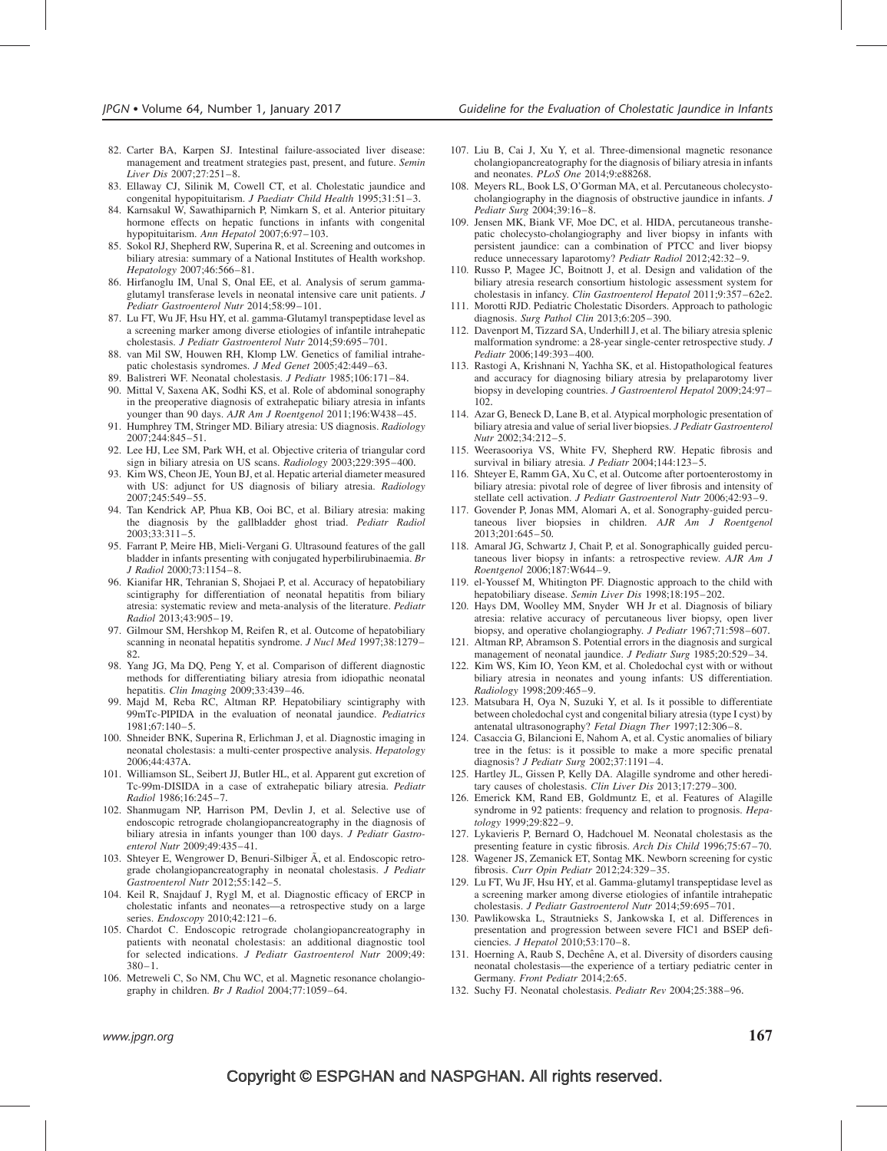- 82. Carter BA, Karpen SJ. Intestinal failure-associated liver disease: management and treatment strategies past, present, and future. Semin Liver Dis 2007;27:251–8.
- 83. Ellaway CJ, Silinik M, Cowell CT, et al. Cholestatic jaundice and congenital hypopituitarism. J Paediatr Child Health 1995;31:51-3.
- 84. Karnsakul W, Sawathiparnich P, Nimkarn S, et al. Anterior pituitary hormone effects on hepatic functions in infants with congenital hypopituitarism. Ann Hepatol 2007;6:97-103.
- 85. Sokol RJ, Shepherd RW, Superina R, et al. Screening and outcomes in biliary atresia: summary of a National Institutes of Health workshop. Hepatology 2007;46:566–81.
- 86. Hirfanoglu IM, Unal S, Onal EE, et al. Analysis of serum gammaglutamyl transferase levels in neonatal intensive care unit patients. J Pediatr Gastroenterol Nutr 2014;58:99–101.
- 87. Lu FT, Wu JF, Hsu HY, et al. gamma-Glutamyl transpeptidase level as a screening marker among diverse etiologies of infantile intrahepatic cholestasis. J Pediatr Gastroenterol Nutr 2014;59:695–701.
- 88. van Mil SW, Houwen RH, Klomp LW. Genetics of familial intrahepatic cholestasis syndromes. J Med Genet 2005;42:449-63.
- 89. Balistreri WF. Neonatal cholestasis. J Pediatr 1985;106:171–84.
- 90. Mittal V, Saxena AK, Sodhi KS, et al. Role of abdominal sonography in the preoperative diagnosis of extrahepatic biliary atresia in infants younger than 90 days. AJR Am J Roentgenol 2011;196:W438-45.
- 91. Humphrey TM, Stringer MD. Biliary atresia: US diagnosis. Radiology 2007;244:845–51.
- 92. Lee HJ, Lee SM, Park WH, et al. Objective criteria of triangular cord sign in biliary atresia on US scans. Radiology 2003;229:395–400.
- 93. Kim WS, Cheon JE, Youn BJ, et al. Hepatic arterial diameter measured with US: adjunct for US diagnosis of biliary atresia. Radiology 2007;245:549–55.
- 94. Tan Kendrick AP, Phua KB, Ooi BC, et al. Biliary atresia: making the diagnosis by the gallbladder ghost triad. Pediatr Radiol 2003;33:311–5.
- 95. Farrant P, Meire HB, Mieli-Vergani G. Ultrasound features of the gall bladder in infants presenting with conjugated hyperbilirubinaemia.  $\mathfrak{Br}$ J Radiol 2000;73:1154–8.
- 96. Kianifar HR, Tehranian S, Shojaei P, et al. Accuracy of hepatobiliary scintigraphy for differentiation of neonatal hepatitis from biliary atresia: systematic review and meta-analysis of the literature. Pediatr Radiol 2013;43:905–19.
- 97. Gilmour SM, Hershkop M, Reifen R, et al. Outcome of hepatobiliary scanning in neonatal hepatitis syndrome. J Nucl Med 1997;38:1279– 82.
- 98. Yang JG, Ma DQ, Peng Y, et al. Comparison of different diagnostic methods for differentiating biliary atresia from idiopathic neonatal hepatitis. Clin Imaging 2009;33:439–46.
- 99. Majd M, Reba RC, Altman RP. Hepatobiliary scintigraphy with 99mTc-PIPIDA in the evaluation of neonatal jaundice. Pediatrics 1981;67:140–5.
- 100. Shneider BNK, Superina R, Erlichman J, et al. Diagnostic imaging in neonatal cholestasis: a multi-center prospective analysis. Hepatology 2006;44:437A.
- 101. Williamson SL, Seibert JJ, Butler HL, et al. Apparent gut excretion of Tc-99m-DISIDA in a case of extrahepatic biliary atresia. Pediatr Radiol 1986;16:245–7.
- 102. Shanmugam NP, Harrison PM, Devlin J, et al. Selective use of endoscopic retrograde cholangiopancreatography in the diagnosis of biliary atresia in infants younger than 100 days. *J Pediatr Gastro*enterol Nutr 2009;49:435–41.
- 103. Shteyer E, Wengrower D, Benuri-Silbiger  $\tilde{A}$ , et al. Endoscopic retrograde cholangiopancreatography in neonatal cholestasis. J Pediatr Gastroenterol Nutr 2012;55:142–5.
- 104. Keil R, Snajdauf J, Rygl M, et al. Diagnostic efficacy of ERCP in cholestatic infants and neonates—a retrospective study on a large series. Endoscopy 2010;42:121-6.
- 105. Chardot C. Endoscopic retrograde cholangiopancreatography in patients with neonatal cholestasis: an additional diagnostic tool for selected indications. J Pediatr Gastroenterol Nutr 2009;49: 380–1.
- 106. Metreweli C, So NM, Chu WC, et al. Magnetic resonance cholangiography in children. Br J Radiol 2004;77:1059–64.
- 107. Liu B, Cai J, Xu Y, et al. Three-dimensional magnetic resonance cholangiopancreatography for the diagnosis of biliary atresia in infants and neonates. PLoS One 2014;9:e88268.
- 108. Meyers RL, Book LS, O'Gorman MA, et al. Percutaneous cholecystocholangiography in the diagnosis of obstructive jaundice in infants. J Pediatr Surg 2004;39:16–8.
- 109. Jensen MK, Biank VF, Moe DC, et al. HIDA, percutaneous transhepatic cholecysto-cholangiography and liver biopsy in infants with persistent jaundice: can a combination of PTCC and liver biopsy reduce unnecessary laparotomy? Pediatr Radiol 2012;42:32–9.
- 110. Russo P, Magee JC, Boitnott J, et al. Design and validation of the biliary atresia research consortium histologic assessment system for cholestasis in infancy. Clin Gastroenterol Hepatol 2011;9:357–62e2.
- 111. Morotti RJD. Pediatric Cholestatic Disorders. Approach to pathologic diagnosis. Surg Pathol Clin 2013;6:205-390.
- 112. Davenport M, Tizzard SA, Underhill J, et al. The biliary atresia splenic malformation syndrome: a 28-year single-center retrospective study. J Pediatr 2006;149:393–400.
- 113. Rastogi A, Krishnani N, Yachha SK, et al. Histopathological features and accuracy for diagnosing biliary atresia by prelaparotomy liver biopsy in developing countries. J Gastroenterol Hepatol 2009;24:97-102.
- 114. Azar G, Beneck D, Lane B, et al. Atypical morphologic presentation of biliary atresia and value of serial liver biopsies. *J Pediatr Gastroenterol* Nutr 2002;34:212–5.
- 115. Weerasooriya VS, White FV, Shepherd RW. Hepatic fibrosis and survival in biliary atresia. J Pediatr 2004;144:123-5.
- 116. Shteyer E, Ramm GA, Xu C, et al. Outcome after portoenterostomy in biliary atresia: pivotal role of degree of liver fibrosis and intensity of stellate cell activation. J Pediatr Gastroenterol Nutr 2006;42:93–9.
- 117. Govender P, Jonas MM, Alomari A, et al. Sonography-guided percutaneous liver biopsies in children. AJR Am J Roentgenol 2013;201:645–50.
- 118. Amaral JG, Schwartz J, Chait P, et al. Sonographically guided percutaneous liver biopsy in infants: a retrospective review. AJR Am J Roentgenol 2006;187:W644–9.
- 119. el-Youssef M, Whitington PF. Diagnostic approach to the child with hepatobiliary disease. Semin Liver Dis 1998;18:195-202.
- 120. Hays DM, Woolley MM, Snyder WH Jr et al. Diagnosis of biliary atresia: relative accuracy of percutaneous liver biopsy, open liver biopsy, and operative cholangiography. J Pediatr 1967;71:598–607.
- 121. Altman RP, Abramson S. Potential errors in the diagnosis and surgical management of neonatal jaundice. J Pediatr Surg 1985;20:529–34.
- 122. Kim WS, Kim IO, Yeon KM, et al. Choledochal cyst with or without biliary atresia in neonates and young infants: US differentiation. Radiology 1998;209:465–9.
- 123. Matsubara H, Oya N, Suzuki Y, et al. Is it possible to differentiate between choledochal cyst and congenital biliary atresia (type I cyst) by antenatal ultrasonography? Fetal Diagn Ther 1997;12:306–8.
- 124. Casaccia G, Bilancioni E, Nahom A, et al. Cystic anomalies of biliary tree in the fetus: is it possible to make a more specific prenatal diagnosis? J Pediatr Surg 2002;37:1191–4.
- 125. Hartley JL, Gissen P, Kelly DA. Alagille syndrome and other hereditary causes of cholestasis. Clin Liver Dis 2013;17:279–300.
- 126. Emerick KM, Rand EB, Goldmuntz E, et al. Features of Alagille syndrome in 92 patients: frequency and relation to prognosis. Hepatology 1999;29:822–9.
- 127. Lykavieris P, Bernard O, Hadchouel M. Neonatal cholestasis as the presenting feature in cystic fibrosis. Arch Dis Child 1996;75:67–70.
- 128. Wagener JS, Zemanick ET, Sontag MK. Newborn screening for cystic fibrosis. Curr Opin Pediatr 2012;24:329–35.
- 129. Lu FT, Wu JF, Hsu HY, et al. Gamma-glutamyl transpeptidase level as a screening marker among diverse etiologies of infantile intrahepatic cholestasis. J Pediatr Gastroenterol Nutr 2014;59:695–701.
- 130. Pawlikowska L, Strautnieks S, Jankowska I, et al. Differences in presentation and progression between severe FIC1 and BSEP deficiencies. J Hepatol 2010;53:170–8.
- 131. Hoerning A, Raub S, Dechêne A, et al. Diversity of disorders causing neonatal cholestasis—the experience of a tertiary pediatric center in Germany. Front Pediatr 2014;2:65.
- 132. Suchy FJ. Neonatal cholestasis. Pediatr Rev 2004;25:388–96.